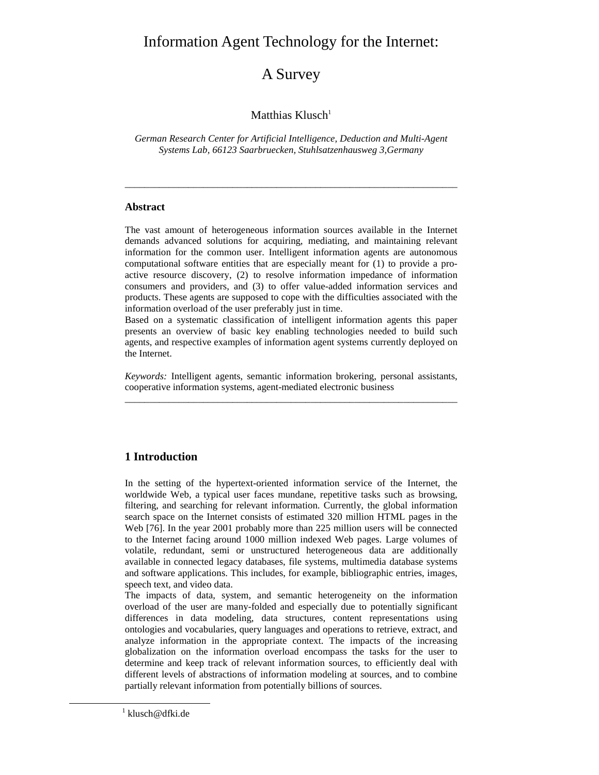# Information Agent Technology for the Internet:

# A Survey

## Matthias  $K$ lusch<sup>1</sup>

*German Research Center for Artificial Intelligence, Deduction and Multi-Agent Systems Lab, 66123 Saarbruecken, Stuhlsatzenhausweg 3,Germany*

\_\_\_\_\_\_\_\_\_\_\_\_\_\_\_\_\_\_\_\_\_\_\_\_\_\_\_\_\_\_\_\_\_\_\_\_\_\_\_\_\_\_\_\_\_\_\_\_\_\_\_\_\_\_\_\_\_\_\_\_\_\_\_\_\_\_\_\_

## **Abstract**

The vast amount of heterogeneous information sources available in the Internet demands advanced solutions for acquiring, mediating, and maintaining relevant information for the common user. Intelligent information agents are autonomous computational software entities that are especially meant for (1) to provide a proactive resource discovery, (2) to resolve information impedance of information consumers and providers, and (3) to offer value-added information services and products. These agents are supposed to cope with the difficulties associated with the information overload of the user preferably just in time.

Based on a systematic classification of intelligent information agents this paper presents an overview of basic key enabling technologies needed to build such agents, and respective examples of information agent systems currently deployed on the Internet.

*Keywords:* Intelligent agents, semantic information brokering, personal assistants, cooperative information systems, agent-mediated electronic business \_\_\_\_\_\_\_\_\_\_\_\_\_\_\_\_\_\_\_\_\_\_\_\_\_\_\_\_\_\_\_\_\_\_\_\_\_\_\_\_\_\_\_\_\_\_\_\_\_\_\_\_\_\_\_\_\_\_\_\_\_\_\_\_\_\_\_\_

## **1 Introduction**

In the setting of the hypertext-oriented information service of the Internet, the worldwide Web, a typical user faces mundane, repetitive tasks such as browsing, filtering, and searching for relevant information. Currently, the global information search space on the Internet consists of estimated 320 million HTML pages in the Web [76]. In the year 2001 probably more than 225 million users will be connected to the Internet facing around 1000 million indexed Web pages. Large volumes of volatile, redundant, semi or unstructured heterogeneous data are additionally available in connected legacy databases, file systems, multimedia database systems and software applications. This includes, for example, bibliographic entries, images, speech text, and video data.

The impacts of data, system, and semantic heterogeneity on the information overload of the user are many-folded and especially due to potentially significant differences in data modeling, data structures, content representations using ontologies and vocabularies, query languages and operations to retrieve, extract, and analyze information in the appropriate context. The impacts of the increasing globalization on the information overload encompass the tasks for the user to determine and keep track of relevant information sources, to efficiently deal with different levels of abstractions of information modeling at sources, and to combine partially relevant information from potentially billions of sources.

 $\overline{a}$ 

<sup>1</sup> klusch@dfki.de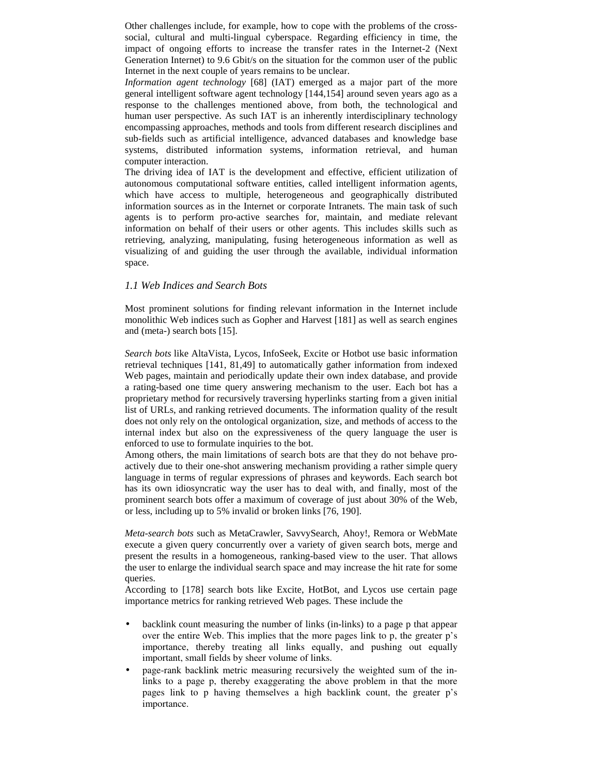Other challenges include, for example, how to cope with the problems of the crosssocial, cultural and multi-lingual cyberspace. Regarding efficiency in time, the impact of ongoing efforts to increase the transfer rates in the Internet-2 (Next Generation Internet) to 9.6 Gbit/s on the situation for the common user of the public Internet in the next couple of years remains to be unclear.

*Information agent technology* [68] (IAT) emerged as a major part of the more general intelligent software agent technology [144,154] around seven years ago as a response to the challenges mentioned above, from both, the technological and human user perspective. As such IAT is an inherently interdisciplinary technology encompassing approaches, methods and tools from different research disciplines and sub-fields such as artificial intelligence, advanced databases and knowledge base systems, distributed information systems, information retrieval, and human computer interaction.

The driving idea of IAT is the development and effective, efficient utilization of autonomous computational software entities, called intelligent information agents, which have access to multiple, heterogeneous and geographically distributed information sources as in the Internet or corporate Intranets. The main task of such agents is to perform pro-active searches for, maintain, and mediate relevant information on behalf of their users or other agents. This includes skills such as retrieving, analyzing, manipulating, fusing heterogeneous information as well as visualizing of and guiding the user through the available, individual information space.

## *1.1 Web Indices and Search Bots*

Most prominent solutions for finding relevant information in the Internet include monolithic Web indices such as Gopher and Harvest [181] as well as search engines and (meta-) search bots [15].

*Search bots* like AltaVista, Lycos, InfoSeek, Excite or Hotbot use basic information retrieval techniques [141, 81,49] to automatically gather information from indexed Web pages, maintain and periodically update their own index database, and provide a rating-based one time query answering mechanism to the user. Each bot has a proprietary method for recursively traversing hyperlinks starting from a given initial list of URLs, and ranking retrieved documents. The information quality of the result does not only rely on the ontological organization, size, and methods of access to the internal index but also on the expressiveness of the query language the user is enforced to use to formulate inquiries to the bot.

Among others, the main limitations of search bots are that they do not behave proactively due to their one-shot answering mechanism providing a rather simple query language in terms of regular expressions of phrases and keywords. Each search bot has its own idiosyncratic way the user has to deal with, and finally, most of the prominent search bots offer a maximum of coverage of just about 30% of the Web, or less, including up to 5% invalid or broken links [76, 190].

*Meta-search bots* such as MetaCrawler, SavvySearch, Ahoy!, Remora or WebMate execute a given query concurrently over a variety of given search bots, merge and present the results in a homogeneous, ranking-based view to the user. That allows the user to enlarge the individual search space and may increase the hit rate for some queries.

According to [178] search bots like Excite, HotBot, and Lycos use certain page importance metrics for ranking retrieved Web pages. These include the

- backlink count measuring the number of links (in-links) to a page p that appear over the entire Web. This implies that the more pages link to p, the greater p's importance, thereby treating all links equally, and pushing out equally important, small fields by sheer volume of links.
- page-rank backlink metric measuring recursively the weighted sum of the inlinks to a page p, thereby exaggerating the above problem in that the more pages link to p having themselves a high backlink count, the greater p's importance.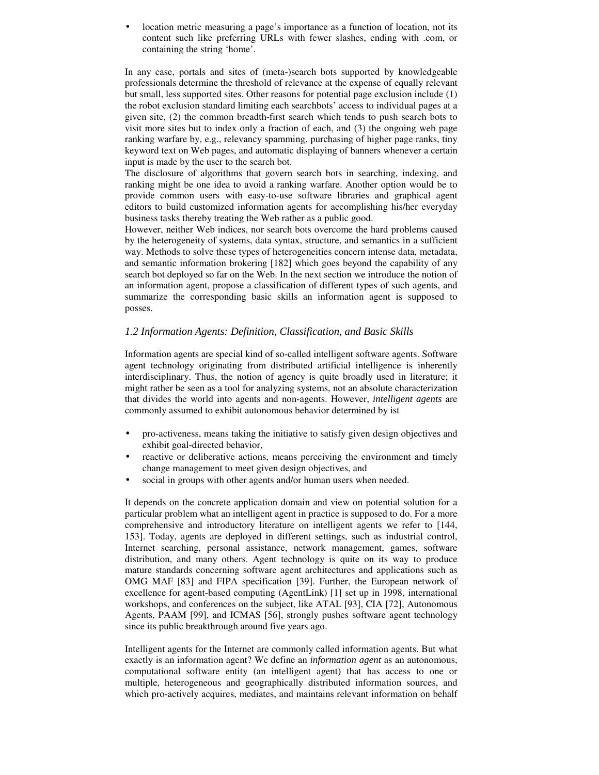location metric measuring a page's importance as a function of location, not its content such like preferring URLs with fewer slashes, ending with .com, or containing the string 'home'.

In any case, portals and sites of (meta-)search bots supported by knowledgeable professionals determine the threshold of relevance at the expense of equally relevant but small, less supported sites. Other reasons for potential page exclusion include (1) the robot exclusion standard limiting each searchbots' access to individual pages at a given site, (2) the common breadth-first search which tends to push search bots to visit more sites but to index only a fraction of each, and (3) the ongoing web page ranking warfare by, e.g., relevancy spamming, purchasing of higher page ranks, tiny keyword text on Web pages, and automatic displaying of banners whenever a certain input is made by the user to the search bot.

The disclosure of algorithms that govern search bots in searching, indexing, and ranking might be one idea to avoid a ranking warfare. Another option would be to provide common users with easy-to-use software libraries and graphical agent editors to build customized information agents for accomplishing his/her everyday business tasks thereby treating the Web rather as a public good.

However, neither Web indices, nor search bots overcome the hard problems caused by the heterogeneity of systems, data syntax, structure, and semantics in a sufficient way. Methods to solve these types of heterogeneities concern intense data, metadata, and semantic information brokering [182] which goes beyond the capability of any search bot deployed so far on the Web. In the next section we introduce the notion of an information agent, propose a classification of different types of such agents, and summarize the corresponding basic skills an information agent is supposed to posses.

## *1.2 Information Agents: Definition, Classification, and Basic Skills*

Information agents are special kind of so-called intelligent software agents. Software agent technology originating from distributed artificial intelligence is inherently interdisciplinary. Thus, the notion of agency is quite broadly used in literature; it might rather be seen as a tool for analyzing systems, not an absolute characterization that divides the world into agents and non-agents. However, *intelligent agents* are commonly assumed to exhibit autonomous behavior determined by ist

- pro-activeness, means taking the initiative to satisfy given design objectives and exhibit goal-directed behavior,
- reactive or deliberative actions, means perceiving the environment and timely change management to meet given design objectives, and
- social in groups with other agents and/or human users when needed.

It depends on the concrete application domain and view on potential solution for a particular problem what an intelligent agent in practice is supposed to do. For a more comprehensive and introductory literature on intelligent agents we refer to [144, 153]. Today, agents are deployed in different settings, such as industrial control, Internet searching, personal assistance, network management, games, software distribution, and many others. Agent technology is quite on its way to produce mature standards concerning software agent architectures and applications such as OMG MAF [83] and FIPA specification [39]. Further, the European network of excellence for agent-based computing (AgentLink) [1] set up in 1998, international workshops, and conferences on the subject, like ATAL [93], CIA [72], Autonomous Agents, PAAM [99], and ICMAS [56], strongly pushes software agent technology since its public breakthrough around five years ago.

Intelligent agents for the Internet are commonly called information agents. But what exactly is an information agent? We define an *information agent* as an autonomous, computational software entity (an intelligent agent) that has access to one or multiple, heterogeneous and geographically distributed information sources, and which pro-actively acquires, mediates, and maintains relevant information on behalf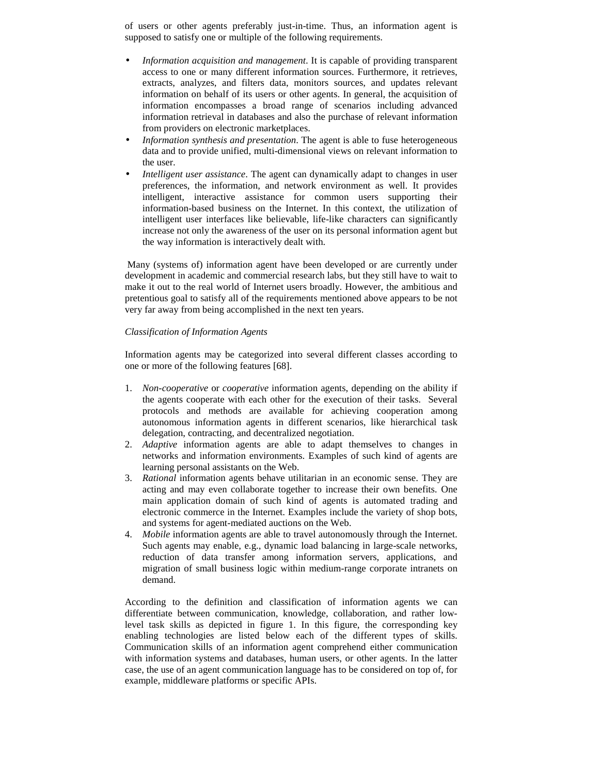of users or other agents preferably just-in-time. Thus, an information agent is supposed to satisfy one or multiple of the following requirements.

- *Information acquisition and management*. It is capable of providing transparent access to one or many different information sources. Furthermore, it retrieves, extracts, analyzes, and filters data, monitors sources, and updates relevant information on behalf of its users or other agents. In general, the acquisition of information encompasses a broad range of scenarios including advanced information retrieval in databases and also the purchase of relevant information from providers on electronic marketplaces.
- *Information synthesis and presentation*. The agent is able to fuse heterogeneous data and to provide unified, multi-dimensional views on relevant information to the user.
- *Intelligent user assistance*. The agent can dynamically adapt to changes in user preferences, the information, and network environment as well. It provides intelligent, interactive assistance for common users supporting their information-based business on the Internet. In this context, the utilization of intelligent user interfaces like believable, life-like characters can significantly increase not only the awareness of the user on its personal information agent but the way information is interactively dealt with.

 Many (systems of) information agent have been developed or are currently under development in academic and commercial research labs, but they still have to wait to make it out to the real world of Internet users broadly. However, the ambitious and pretentious goal to satisfy all of the requirements mentioned above appears to be not very far away from being accomplished in the next ten years.

#### *Classification of Information Agents*

Information agents may be categorized into several different classes according to one or more of the following features [68].

- 1. *Non-cooperative* or *cooperative* information agents, depending on the ability if the agents cooperate with each other for the execution of their tasks. Several protocols and methods are available for achieving cooperation among autonomous information agents in different scenarios, like hierarchical task delegation, contracting, and decentralized negotiation.
- 2. *Adaptive* information agents are able to adapt themselves to changes in networks and information environments. Examples of such kind of agents are learning personal assistants on the Web.
- 3. *Rational* information agents behave utilitarian in an economic sense. They are acting and may even collaborate together to increase their own benefits. One main application domain of such kind of agents is automated trading and electronic commerce in the Internet. Examples include the variety of shop bots, and systems for agent-mediated auctions on the Web.
- 4. *Mobile* information agents are able to travel autonomously through the Internet. Such agents may enable, e.g., dynamic load balancing in large-scale networks, reduction of data transfer among information servers, applications, and migration of small business logic within medium-range corporate intranets on demand.

According to the definition and classification of information agents we can differentiate between communication, knowledge, collaboration, and rather lowlevel task skills as depicted in figure 1. In this figure, the corresponding key enabling technologies are listed below each of the different types of skills. Communication skills of an information agent comprehend either communication with information systems and databases, human users, or other agents. In the latter case, the use of an agent communication language has to be considered on top of, for example, middleware platforms or specific APIs.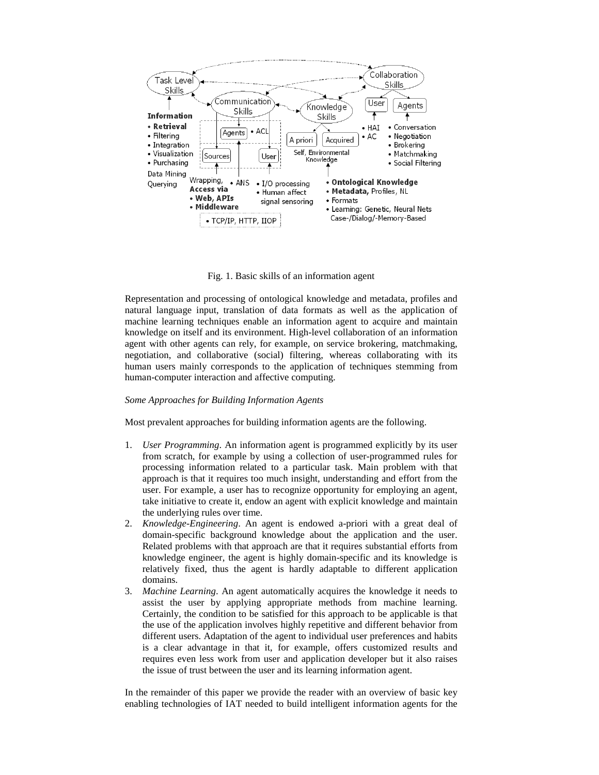

Fig. 1. Basic skills of an information agent

Representation and processing of ontological knowledge and metadata, profiles and natural language input, translation of data formats as well as the application of machine learning techniques enable an information agent to acquire and maintain knowledge on itself and its environment. High-level collaboration of an information agent with other agents can rely, for example, on service brokering, matchmaking, negotiation, and collaborative (social) filtering, whereas collaborating with its human users mainly corresponds to the application of techniques stemming from human-computer interaction and affective computing.

#### *Some Approaches for Building Information Agents*

Most prevalent approaches for building information agents are the following.

- 1. *User Programming*. An information agent is programmed explicitly by its user from scratch, for example by using a collection of user-programmed rules for processing information related to a particular task. Main problem with that approach is that it requires too much insight, understanding and effort from the user. For example, a user has to recognize opportunity for employing an agent, take initiative to create it, endow an agent with explicit knowledge and maintain the underlying rules over time.
- 2. *Knowledge-Engineering*. An agent is endowed a-priori with a great deal of domain-specific background knowledge about the application and the user. Related problems with that approach are that it requires substantial efforts from knowledge engineer, the agent is highly domain-specific and its knowledge is relatively fixed, thus the agent is hardly adaptable to different application domains.
- 3. *Machine Learning*. An agent automatically acquires the knowledge it needs to assist the user by applying appropriate methods from machine learning. Certainly, the condition to be satisfied for this approach to be applicable is that the use of the application involves highly repetitive and different behavior from different users. Adaptation of the agent to individual user preferences and habits is a clear advantage in that it, for example, offers customized results and requires even less work from user and application developer but it also raises the issue of trust between the user and its learning information agent.

In the remainder of this paper we provide the reader with an overview of basic key enabling technologies of IAT needed to build intelligent information agents for the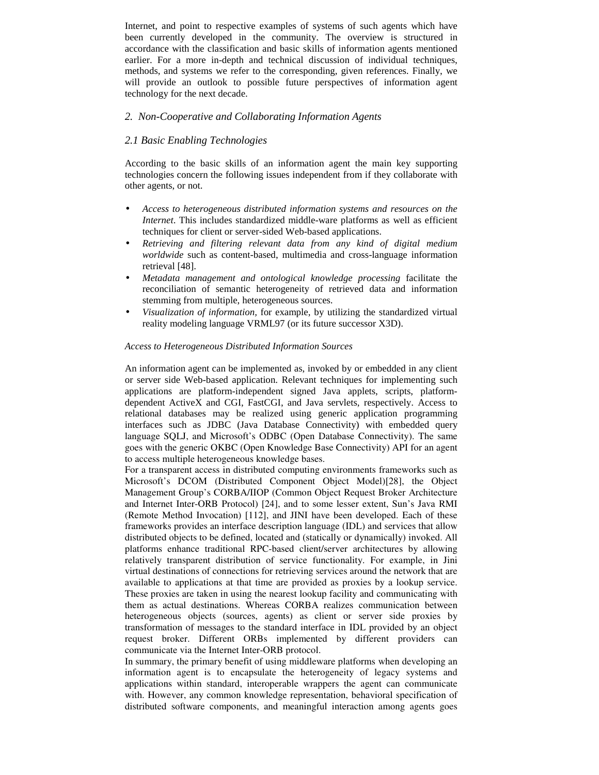Internet, and point to respective examples of systems of such agents which have been currently developed in the community. The overview is structured in accordance with the classification and basic skills of information agents mentioned earlier. For a more in-depth and technical discussion of individual techniques, methods, and systems we refer to the corresponding, given references. Finally, we will provide an outlook to possible future perspectives of information agent technology for the next decade.

## *2. Non-Cooperative and Collaborating Information Agents*

## *2.1 Basic Enabling Technologies*

According to the basic skills of an information agent the main key supporting technologies concern the following issues independent from if they collaborate with other agents, or not.

- *Access to heterogeneous distributed information systems and resources on the Internet*. This includes standardized middle-ware platforms as well as efficient techniques for client or server-sided Web-based applications.
- *Retrieving and filtering relevant data from any kind of digital medium worldwide* such as content-based, multimedia and cross-language information retrieval [48].
- *Metadata management and ontological knowledge processing* facilitate the reconciliation of semantic heterogeneity of retrieved data and information stemming from multiple, heterogeneous sources.
- *Visualization of information,* for example, by utilizing the standardized virtual reality modeling language VRML97 (or its future successor X3D).

#### *Access to Heterogeneous Distributed Information Sources*

An information agent can be implemented as, invoked by or embedded in any client or server side Web-based application. Relevant techniques for implementing such applications are platform-independent signed Java applets, scripts, platformdependent ActiveX and CGI, FastCGI, and Java servlets, respectively. Access to relational databases may be realized using generic application programming interfaces such as JDBC (Java Database Connectivity) with embedded query language SQLJ, and Microsoft's ODBC (Open Database Connectivity). The same goes with the generic OKBC (Open Knowledge Base Connectivity) API for an agent to access multiple heterogeneous knowledge bases.

For a transparent access in distributed computing environments frameworks such as Microsoft's DCOM (Distributed Component Object Model)[28], the Object Management Group's CORBA/IIOP (Common Object Request Broker Architecture and Internet Inter-ORB Protocol) [24], and to some lesser extent, Sun's Java RMI (Remote Method Invocation) [112], and JINI have been developed. Each of these frameworks provides an interface description language (IDL) and services that allow distributed objects to be defined, located and (statically or dynamically) invoked. All platforms enhance traditional RPC-based client/server architectures by allowing relatively transparent distribution of service functionality. For example, in Jini virtual destinations of connections for retrieving services around the network that are available to applications at that time are provided as proxies by a lookup service. These proxies are taken in using the nearest lookup facility and communicating with them as actual destinations. Whereas CORBA realizes communication between heterogeneous objects (sources, agents) as client or server side proxies by transformation of messages to the standard interface in IDL provided by an object request broker. Different ORBs implemented by different providers can communicate via the Internet Inter-ORB protocol.

In summary, the primary benefit of using middleware platforms when developing an information agent is to encapsulate the heterogeneity of legacy systems and applications within standard, interoperable wrappers the agent can communicate with. However, any common knowledge representation, behavioral specification of distributed software components, and meaningful interaction among agents goes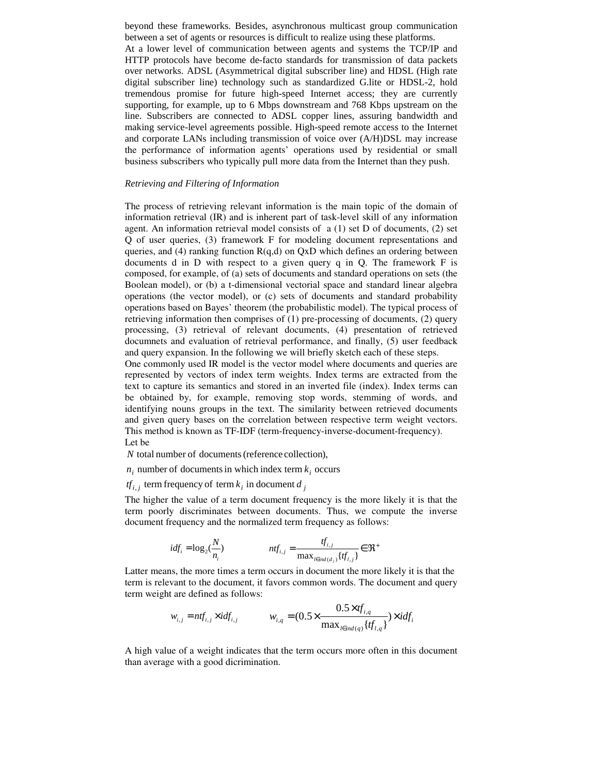beyond these frameworks. Besides, asynchronous multicast group communication between a set of agents or resources is difficult to realize using these platforms.

At a lower level of communication between agents and systems the TCP/IP and HTTP protocols have become de-facto standards for transmission of data packets over networks. ADSL (Asymmetrical digital subscriber line) and HDSL (High rate digital subscriber line) technology such as standardized G.lite or HDSL-2, hold tremendous promise for future high-speed Internet access; they are currently supporting, for example, up to 6 Mbps downstream and 768 Kbps upstream on the line. Subscribers are connected to ADSL copper lines, assuring bandwidth and making service-level agreements possible. High-speed remote access to the Internet and corporate LANs including transmission of voice over (A/H)DSL may increase the performance of information agents' operations used by residential or small business subscribers who typically pull more data from the Internet than they push.

#### *Retrieving and Filtering of Information*

The process of retrieving relevant information is the main topic of the domain of information retrieval (IR) and is inherent part of task-level skill of any information agent. An information retrieval model consists of a (1) set D of documents, (2) set Q of user queries, (3) framework F for modeling document representations and queries, and (4) ranking function  $R(q,d)$  on  $QxD$  which defines an ordering between documents d in D with respect to a given query q in Q. The framework F is composed, for example, of (a) sets of documents and standard operations on sets (the Boolean model), or (b) a t-dimensional vectorial space and standard linear algebra operations (the vector model), or (c) sets of documents and standard probability operations based on Bayes' theorem (the probabilistic model). The typical process of retrieving information then comprises of (1) pre-processing of documents, (2) query processing, (3) retrieval of relevant documents, (4) presentation of retrieved documnets and evaluation of retrieval performance, and finally, (5) user feedback and query expansion. In the following we will briefly sketch each of these steps.

One commonly used IR model is the vector model where documents and queries are represented by vectors of index term weights. Index terms are extracted from the text to capture its semantics and stored in an inverted file (index). Index terms can be obtained by, for example, removing stop words, stemming of words, and identifying nouns groups in the text. The similarity between retrieved documents and given query bases on the correlation between respective term weight vectors. This method is known as TF-IDF (term-frequency-inverse-document-frequency). Let be

*N* total number of documents(reference collection),

 $n_i$  number of documents in which index term  $k_i$  occurs

 $tf_{i,j}$  term frequency of term  $k_i$  in document  $d_j$ 

The higher the value of a term document frequency is the more likely it is that the term poorly discriminates between documents. Thus, we compute the inverse document frequency and the normalized term frequency as follows:

$$
idf_i = \log_2(\frac{N}{n_i}) \qquad \qquad ntf_{i,j} = \frac{tf_{i,j}}{\max_{l \in ind(d_j)} \{tf_{l,j}\}} \in \mathfrak{R}^+
$$

Latter means, the more times a term occurs in document the more likely it is that the term is relevant to the document, it favors common words. The document and query term weight are defined as follows:

$$
w_{i,j} = n f_{i,j} \times id f_{i,j} \qquad w_{i,q} = (0.5 \times \frac{0.5 \times tf_{i,q}}{\max_{l \in ind(q)} \{f_{l,q}\}}) \times id f_i
$$

A high value of a weight indicates that the term occurs more often in this document than average with a good dicrimination.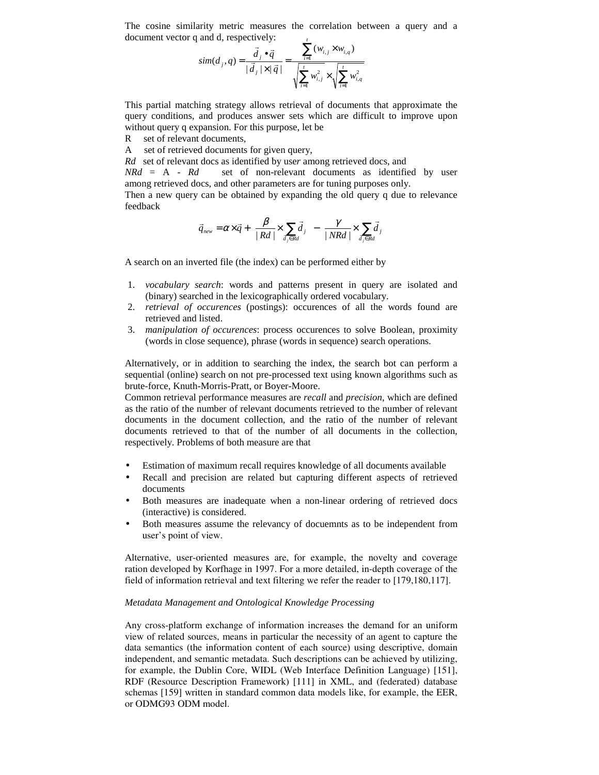The cosine similarity metric measures the correlation between a query and a document vector q and d, respectively: *t*

$$
sim(d_j, q) = \frac{\vec{d}_j \cdot \vec{q}}{|\vec{d}_j| \times |\vec{q}|} = \frac{\sum_{i=1}^{N} (w_{i,j} \times w_{i,q})}{\sqrt{\sum_{i=1}^{I} w_{i,j}^2} \times \sqrt{\sum_{i=1}^{I} w_{i,q}^2}}
$$

This partial matching strategy allows retrieval of documents that approximate the query conditions, and produces answer sets which are difficult to improve upon without query q expansion. For this purpose, let be

R set of relevant documents,

A set of retrieved documents for given query,

*Rd* set of relevant docs as identified by use*r* among retrieved docs, and

*NRd* = A - *Rd* set of non-relevant documents as identified by user among retrieved docs, and other parameters are for tuning purposes only.

Then a new query can be obtained by expanding the old query q due to relevance feedback

$$
\vec{q}_{new} = \alpha \times \vec{q} + \left(\frac{\beta}{|Rd|} \times \sum_{\vec{d}_j \in Rd} \vec{d}_j\right) - \left(\frac{\gamma}{|NRd|} \times \sum_{\vec{d}_j \in Rd} \vec{d}_j\right)
$$

A search on an inverted file (the index) can be performed either by

- 1. *vocabulary search*: words and patterns present in query are isolated and (binary) searched in the lexicographically ordered vocabulary.
- 2. *retrieval of occurences* (postings): occurences of all the words found are retrieved and listed.
- 3. *manipulation of occurences*: process occurences to solve Boolean, proximity (words in close sequence), phrase (words in sequence) search operations.

Alternatively, or in addition to searching the index, the search bot can perform a sequential (online) search on not pre-processed text using known algorithms such as brute-force, Knuth-Morris-Pratt, or Boyer-Moore.

Common retrieval performance measures are *recall* and *precision*, which are defined as the ratio of the number of relevant documents retrieved to the number of relevant documents in the document collection, and the ratio of the number of relevant documents retrieved to that of the number of all documents in the collection, respectively. Problems of both measure are that

- Estimation of maximum recall requires knowledge of all documents available
- Recall and precision are related but capturing different aspects of retrieved documents
- Both measures are inadequate when a non-linear ordering of retrieved docs (interactive) is considered.
- Both measures assume the relevancy of docuemnts as to be independent from user's point of view.

Alternative, user-oriented measures are, for example, the novelty and coverage ration developed by Korfhage in 1997. For a more detailed, in-depth coverage of the field of information retrieval and text filtering we refer the reader to [179,180,117].

#### *Metadata Management and Ontological Knowledge Processing*

Any cross-platform exchange of information increases the demand for an uniform view of related sources, means in particular the necessity of an agent to capture the data semantics (the information content of each source) using descriptive, domain independent, and semantic metadata. Such descriptions can be achieved by utilizing, for example, the Dublin Core, WIDL (Web Interface Definition Language) [151], RDF (Resource Description Framework) [111] in XML, and (federated) database schemas [159] written in standard common data models like, for example, the EER, or ODMG93 ODM model.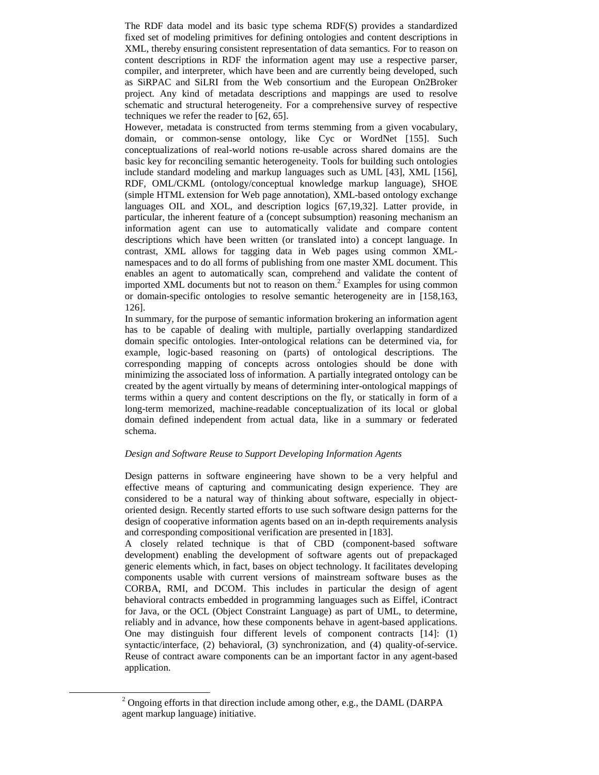The RDF data model and its basic type schema RDF(S) provides a standardized fixed set of modeling primitives for defining ontologies and content descriptions in XML, thereby ensuring consistent representation of data semantics. For to reason on content descriptions in RDF the information agent may use a respective parser, compiler, and interpreter, which have been and are currently being developed, such as SiRPAC and SiLRI from the Web consortium and the European On2Broker project. Any kind of metadata descriptions and mappings are used to resolve schematic and structural heterogeneity. For a comprehensive survey of respective techniques we refer the reader to [62, 65].

However, metadata is constructed from terms stemming from a given vocabulary, domain, or common-sense ontology, like Cyc or WordNet [155]. Such conceptualizations of real-world notions re-usable across shared domains are the basic key for reconciling semantic heterogeneity. Tools for building such ontologies include standard modeling and markup languages such as UML [43], XML [156], RDF, OML/CKML (ontology/conceptual knowledge markup language), SHOE (simple HTML extension for Web page annotation), XML-based ontology exchange languages OIL and XOL, and description logics [67,19,32]. Latter provide, in particular, the inherent feature of a (concept subsumption) reasoning mechanism an information agent can use to automatically validate and compare content descriptions which have been written (or translated into) a concept language. In contrast, XML allows for tagging data in Web pages using common XMLnamespaces and to do all forms of publishing from one master XML document. This enables an agent to automatically scan, comprehend and validate the content of imported XML documents but not to reason on them.<sup>2</sup> Examples for using common or domain-specific ontologies to resolve semantic heterogeneity are in [158,163, 126].

In summary, for the purpose of semantic information brokering an information agent has to be capable of dealing with multiple, partially overlapping standardized domain specific ontologies. Inter-ontological relations can be determined via, for example, logic-based reasoning on (parts) of ontological descriptions. The corresponding mapping of concepts across ontologies should be done with minimizing the associated loss of information. A partially integrated ontology can be created by the agent virtually by means of determining inter-ontological mappings of terms within a query and content descriptions on the fly, or statically in form of a long-term memorized, machine-readable conceptualization of its local or global domain defined independent from actual data, like in a summary or federated schema.

#### *Design and Software Reuse to Support Developing Information Agents*

Design patterns in software engineering have shown to be a very helpful and effective means of capturing and communicating design experience. They are considered to be a natural way of thinking about software, especially in objectoriented design. Recently started efforts to use such software design patterns for the design of cooperative information agents based on an in-depth requirements analysis and corresponding compositional verification are presented in [183].

A closely related technique is that of CBD (component-based software development) enabling the development of software agents out of prepackaged generic elements which, in fact, bases on object technology. It facilitates developing components usable with current versions of mainstream software buses as the CORBA, RMI, and DCOM. This includes in particular the design of agent behavioral contracts embedded in programming languages such as Eiffel, iContract for Java, or the OCL (Object Constraint Language) as part of UML, to determine, reliably and in advance, how these components behave in agent-based applications. One may distinguish four different levels of component contracts [14]: (1) syntactic/interface, (2) behavioral, (3) synchronization, and (4) quality-of-service. Reuse of contract aware components can be an important factor in any agent-based application.

 $\overline{a}$ 

 $2^2$  Ongoing efforts in that direction include among other, e.g., the DAML (DARPA agent markup language) initiative.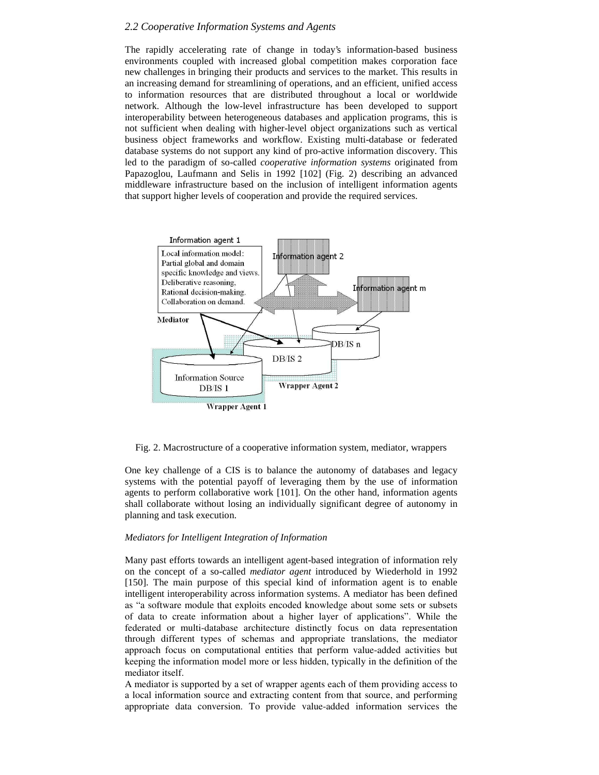## *2.2 Cooperative Information Systems and Agents*

The rapidly accelerating rate of change in today's information-based business environments coupled with increased global competition makes corporation face new challenges in bringing their products and services to the market. This results in an increasing demand for streamlining of operations, and an efficient, unified access to information resources that are distributed throughout a local or worldwide network. Although the low-level infrastructure has been developed to support interoperability between heterogeneous databases and application programs, this is not sufficient when dealing with higher-level object organizations such as vertical business object frameworks and workflow. Existing multi-database or federated database systems do not support any kind of pro-active information discovery. This led to the paradigm of so-called *cooperative information systems* originated from Papazoglou, Laufmann and Selis in 1992 [102] (Fig. 2) describing an advanced middleware infrastructure based on the inclusion of intelligent information agents that support higher levels of cooperation and provide the required services.



Fig. 2. Macrostructure of a cooperative information system, mediator, wrappers

One key challenge of a CIS is to balance the autonomy of databases and legacy systems with the potential payoff of leveraging them by the use of information agents to perform collaborative work [101]. On the other hand, information agents shall collaborate without losing an individually significant degree of autonomy in planning and task execution.

#### *Mediators for Intelligent Integration of Information*

Many past efforts towards an intelligent agent-based integration of information rely on the concept of a so-called *mediator agent* introduced by Wiederhold in 1992 [150]. The main purpose of this special kind of information agent is to enable intelligent interoperability across information systems. A mediator has been defined as "a software module that exploits encoded knowledge about some sets or subsets of data to create information about a higher layer of applications". While the federated or multi-database architecture distinctly focus on data representation through different types of schemas and appropriate translations, the mediator approach focus on computational entities that perform value-added activities but keeping the information model more or less hidden, typically in the definition of the mediator itself.

A mediator is supported by a set of wrapper agents each of them providing access to a local information source and extracting content from that source, and performing appropriate data conversion. To provide value-added information services the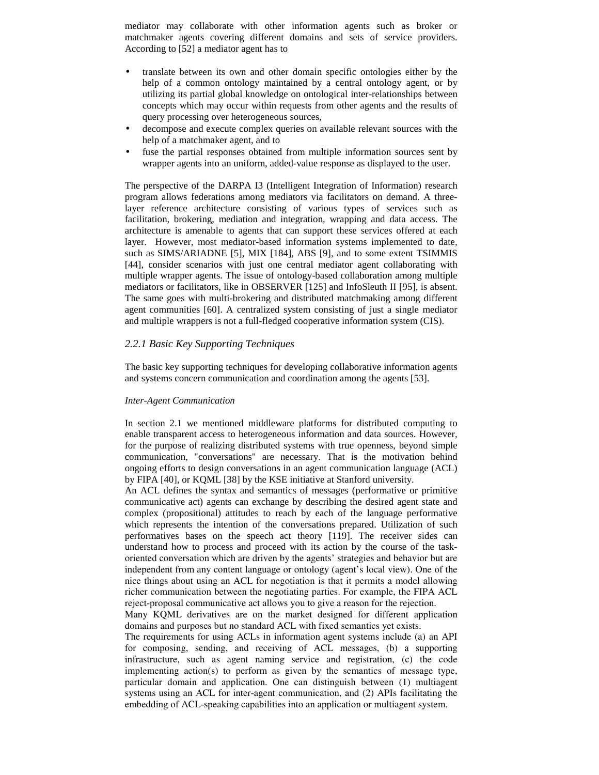mediator may collaborate with other information agents such as broker or matchmaker agents covering different domains and sets of service providers. According to [52] a mediator agent has to

- translate between its own and other domain specific ontologies either by the help of a common ontology maintained by a central ontology agent, or by utilizing its partial global knowledge on ontological inter-relationships between concepts which may occur within requests from other agents and the results of query processing over heterogeneous sources,
- decompose and execute complex queries on available relevant sources with the help of a matchmaker agent, and to
- fuse the partial responses obtained from multiple information sources sent by wrapper agents into an uniform, added-value response as displayed to the user.

The perspective of the DARPA I3 (Intelligent Integration of Information) research program allows federations among mediators via facilitators on demand. A threelayer reference architecture consisting of various types of services such as facilitation, brokering, mediation and integration, wrapping and data access. The architecture is amenable to agents that can support these services offered at each layer. However, most mediator-based information systems implemented to date, such as SIMS/ARIADNE [5], MIX [184], ABS [9], and to some extent TSIMMIS [44], consider scenarios with just one central mediator agent collaborating with multiple wrapper agents. The issue of ontology-based collaboration among multiple mediators or facilitators, like in OBSERVER [125] and InfoSleuth II [95], is absent. The same goes with multi-brokering and distributed matchmaking among different agent communities [60]. A centralized system consisting of just a single mediator and multiple wrappers is not a full-fledged cooperative information system (CIS).

## *2.2.1 Basic Key Supporting Techniques*

The basic key supporting techniques for developing collaborative information agents and systems concern communication and coordination among the agents [53].

#### *Inter-Agent Communication*

In section 2.1 we mentioned middleware platforms for distributed computing to enable transparent access to heterogeneous information and data sources. However, for the purpose of realizing distributed systems with true openness, beyond simple communication, "conversations" are necessary. That is the motivation behind ongoing efforts to design conversations in an agent communication language (ACL) by FIPA [40], or KQML [38] by the KSE initiative at Stanford university.

An ACL defines the syntax and semantics of messages (performative or primitive communicative act) agents can exchange by describing the desired agent state and complex (propositional) attitudes to reach by each of the language performative which represents the intention of the conversations prepared. Utilization of such performatives bases on the speech act theory [119]. The receiver sides can understand how to process and proceed with its action by the course of the taskoriented conversation which are driven by the agents' strategies and behavior but are independent from any content language or ontology (agent's local view). One of the nice things about using an ACL for negotiation is that it permits a model allowing richer communication between the negotiating parties. For example, the FIPA ACL reject-proposal communicative act allows you to give a reason for the rejection.

Many KQML derivatives are on the market designed for different application domains and purposes but no standard ACL with fixed semantics yet exists.

The requirements for using ACLs in information agent systems include (a) an API for composing, sending, and receiving of ACL messages, (b) a supporting infrastructure, such as agent naming service and registration, (c) the code implementing action(s) to perform as given by the semantics of message type, particular domain and application. One can distinguish between (1) multiagent systems using an ACL for inter-agent communication, and (2) APIs facilitating the embedding of ACL-speaking capabilities into an application or multiagent system.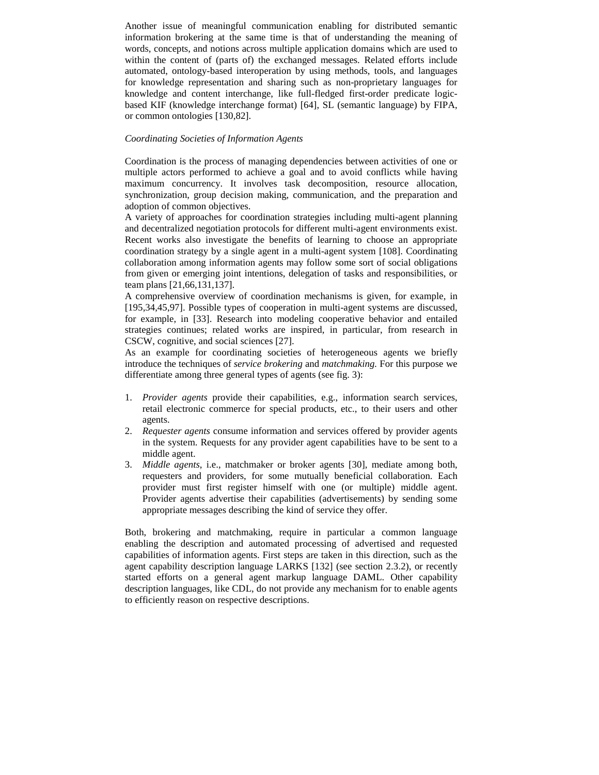Another issue of meaningful communication enabling for distributed semantic information brokering at the same time is that of understanding the meaning of words, concepts, and notions across multiple application domains which are used to within the content of (parts of) the exchanged messages. Related efforts include automated, ontology-based interoperation by using methods, tools, and languages for knowledge representation and sharing such as non-proprietary languages for knowledge and content interchange, like full-fledged first-order predicate logicbased KIF (knowledge interchange format) [64], SL (semantic language) by FIPA, or common ontologies [130,82].

#### *Coordinating Societies of Information Agents*

Coordination is the process of managing dependencies between activities of one or multiple actors performed to achieve a goal and to avoid conflicts while having maximum concurrency. It involves task decomposition, resource allocation, synchronization, group decision making, communication, and the preparation and adoption of common objectives.

A variety of approaches for coordination strategies including multi-agent planning and decentralized negotiation protocols for different multi-agent environments exist. Recent works also investigate the benefits of learning to choose an appropriate coordination strategy by a single agent in a multi-agent system [108]. Coordinating collaboration among information agents may follow some sort of social obligations from given or emerging joint intentions, delegation of tasks and responsibilities, or team plans [21,66,131,137].

A comprehensive overview of coordination mechanisms is given, for example, in [195,34,45,97]. Possible types of cooperation in multi-agent systems are discussed, for example, in [33]. Research into modeling cooperative behavior and entailed strategies continues; related works are inspired, in particular, from research in CSCW, cognitive, and social sciences [27].

As an example for coordinating societies of heterogeneous agents we briefly introduce the techniques of *service brokering* and *matchmaking.* For this purpose we differentiate among three general types of agents (see fig. 3):

- 1. *Provider agents* provide their capabilities, e.g., information search services, retail electronic commerce for special products, etc., to their users and other agents.
- 2. *Requester agents* consume information and services offered by provider agents in the system. Requests for any provider agent capabilities have to be sent to a middle agent.
- 3. *Middle agents*, i.e., matchmaker or broker agents [30], mediate among both, requesters and providers, for some mutually beneficial collaboration. Each provider must first register himself with one (or multiple) middle agent. Provider agents advertise their capabilities (advertisements) by sending some appropriate messages describing the kind of service they offer.

Both, brokering and matchmaking, require in particular a common language enabling the description and automated processing of advertised and requested capabilities of information agents. First steps are taken in this direction, such as the agent capability description language LARKS [132] (see section 2.3.2), or recently started efforts on a general agent markup language DAML. Other capability description languages, like CDL, do not provide any mechanism for to enable agents to efficiently reason on respective descriptions.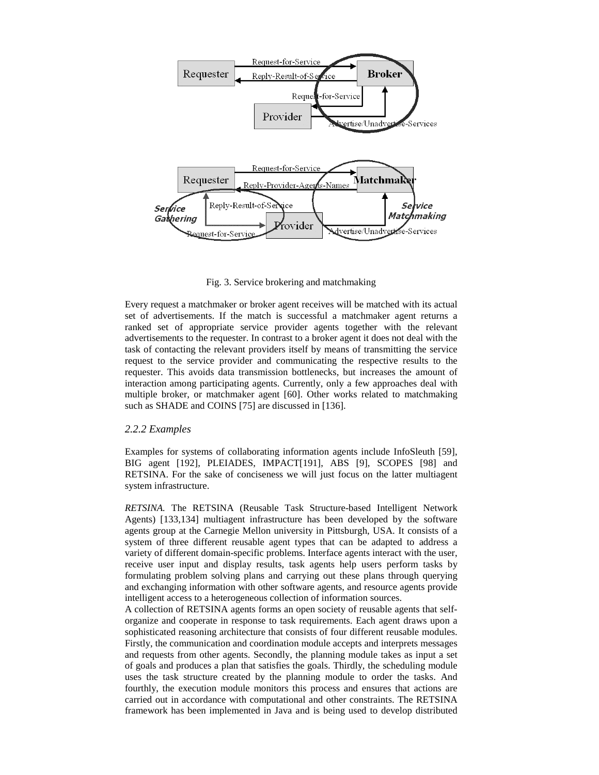

Fig. 3. Service brokering and matchmaking

Every request a matchmaker or broker agent receives will be matched with its actual set of advertisements. If the match is successful a matchmaker agent returns a ranked set of appropriate service provider agents together with the relevant advertisements to the requester. In contrast to a broker agent it does not deal with the task of contacting the relevant providers itself by means of transmitting the service request to the service provider and communicating the respective results to the requester. This avoids data transmission bottlenecks, but increases the amount of interaction among participating agents. Currently, only a few approaches deal with multiple broker, or matchmaker agent [60]. Other works related to matchmaking such as SHADE and COINS [75] are discussed in [136].

#### *2.2.2 Examples*

Examples for systems of collaborating information agents include InfoSleuth [59], BIG agent [192], PLEIADES, IMPACT[191], ABS [9], SCOPES [98] and RETSINA. For the sake of conciseness we will just focus on the latter multiagent system infrastructure.

*RETSINA.* The RETSINA (Reusable Task Structure-based Intelligent Network Agents) [133,134] multiagent infrastructure has been developed by the software agents group at the Carnegie Mellon university in Pittsburgh, USA. It consists of a system of three different reusable agent types that can be adapted to address a variety of different domain-specific problems. Interface agents interact with the user, receive user input and display results, task agents help users perform tasks by formulating problem solving plans and carrying out these plans through querying and exchanging information with other software agents, and resource agents provide intelligent access to a heterogeneous collection of information sources.

A collection of RETSINA agents forms an open society of reusable agents that selforganize and cooperate in response to task requirements. Each agent draws upon a sophisticated reasoning architecture that consists of four different reusable modules. Firstly, the communication and coordination module accepts and interprets messages and requests from other agents. Secondly, the planning module takes as input a set of goals and produces a plan that satisfies the goals. Thirdly, the scheduling module uses the task structure created by the planning module to order the tasks. And fourthly, the execution module monitors this process and ensures that actions are carried out in accordance with computational and other constraints. The RETSINA framework has been implemented in Java and is being used to develop distributed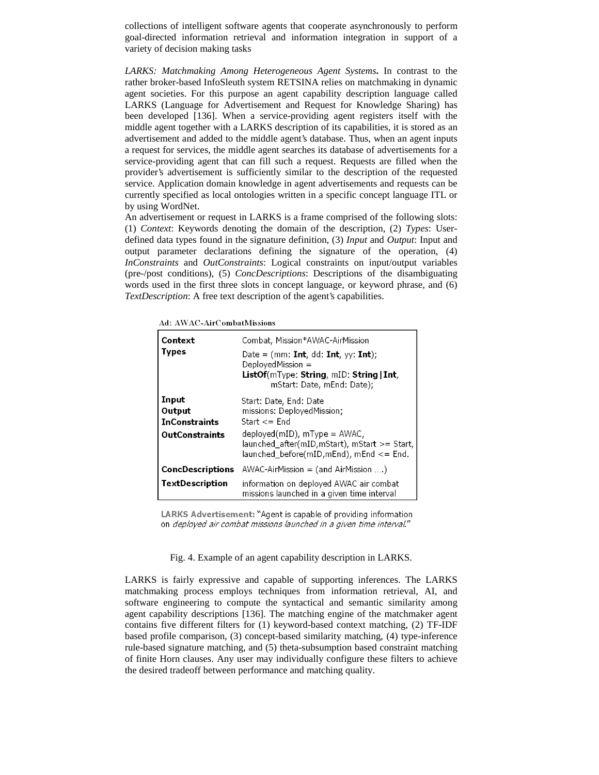collections of intelligent software agents that cooperate asynchronously to perform goal-directed information retrieval and information integration in support of a variety of decision making tasks

*LARKS: Matchmaking Among Heterogeneous Agent Systems***.** In contrast to the rather broker-based InfoSleuth system RETSINA relies on matchmaking in dynamic agent societies. For this purpose an agent capability description language called LARKS (Language for Advertisement and Request for Knowledge Sharing) has been developed [136]. When a service-providing agent registers itself with the middle agent together with a LARKS description of its capabilities, it is stored as an advertisement and added to the middle agent's database. Thus, when an agent inputs a request for services, the middle agent searches its database of advertisements for a service-providing agent that can fill such a request. Requests are filled when the provider's advertisement is sufficiently similar to the description of the requested service. Application domain knowledge in agent advertisements and requests can be currently specified as local ontologies written in a specific concept language ITL or by using WordNet.

An advertisement or request in LARKS is a frame comprised of the following slots: (1) *Context*: Keywords denoting the domain of the description, (2) *Types*: Userdefined data types found in the signature definition, (3) *Input* and *Output*: Input and output parameter declarations defining the signature of the operation, (4) *InConstraints* and *OutConstraints*: Logical constraints on input/output variables (pre-/post conditions), (5) *ConcDescriptions*: Descriptions of the disambiguating words used in the first three slots in concept language, or keyword phrase, and (6) *TextDescription*: A free text description of the agent's capabilities.

| Context<br><b>Types</b>                                          | Combat, Mission*AWAC-AirMission<br>Date = $(mm: Int, dd: Int, yy: Int);$<br>DeplovedMission =<br>$ListOf(mType: String, mID: String   Int,$<br>mStart: Date, mEnd: Date);                                  |
|------------------------------------------------------------------|------------------------------------------------------------------------------------------------------------------------------------------------------------------------------------------------------------|
| Input<br>Output<br><b>InConstraints</b><br><b>OutConstraints</b> | Start: Date, End: Date<br>missions: DeployedMission;<br>Start $\leq$ End<br>deployed(mID), mType = AWAC,<br>launched after(mID,mStart), mStart >= Start,<br>$Ia$ unched_before(mID,mEnd), mEnd $\leq$ End. |
| <b>ConcDescriptions</b>                                          | $AWAC-AirMission = (and AirMission )$                                                                                                                                                                      |
| TextDescription                                                  | information on deployed AWAC air combat<br>missions launched in a given time interval                                                                                                                      |

LARKS Advertisement: "Agent is capable of providing information on deployed air combat missions launched in a given time interval"

#### Fig. 4. Example of an agent capability description in LARKS.

LARKS is fairly expressive and capable of supporting inferences. The LARKS matchmaking process employs techniques from information retrieval, AI, and software engineering to compute the syntactical and semantic similarity among agent capability descriptions [136]. The matching engine of the matchmaker agent contains five different filters for (1) keyword-based context matching, (2) TF-IDF based profile comparison, (3) concept-based similarity matching, (4) type-inference rule-based signature matching, and (5) theta-subsumption based constraint matching of finite Horn clauses. Any user may individually configure these filters to achieve the desired tradeoff between performance and matching quality.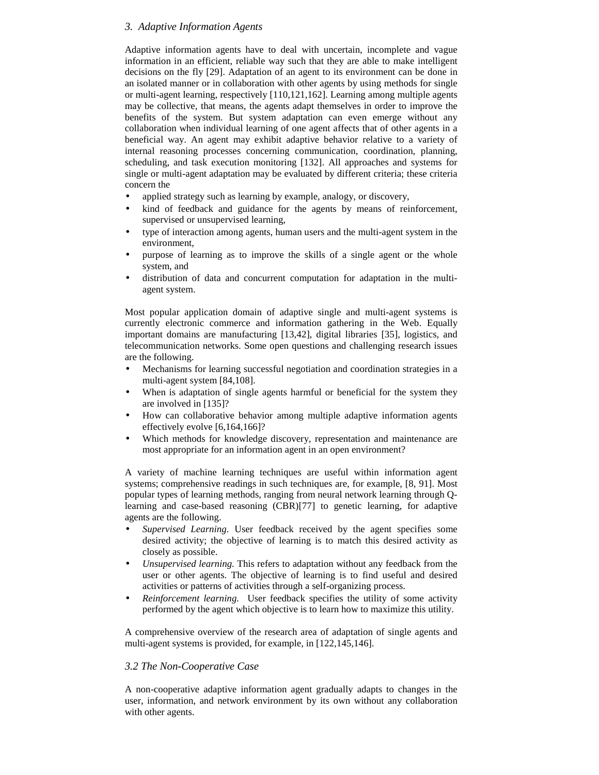## *3. Adaptive Information Agents*

Adaptive information agents have to deal with uncertain, incomplete and vague information in an efficient, reliable way such that they are able to make intelligent decisions on the fly [29]. Adaptation of an agent to its environment can be done in an isolated manner or in collaboration with other agents by using methods for single or multi-agent learning, respectively [110,121,162]. Learning among multiple agents may be collective, that means, the agents adapt themselves in order to improve the benefits of the system. But system adaptation can even emerge without any collaboration when individual learning of one agent affects that of other agents in a beneficial way. An agent may exhibit adaptive behavior relative to a variety of internal reasoning processes concerning communication, coordination, planning, scheduling, and task execution monitoring [132]. All approaches and systems for single or multi-agent adaptation may be evaluated by different criteria; these criteria concern the

- applied strategy such as learning by example, analogy, or discovery,
- kind of feedback and guidance for the agents by means of reinforcement, supervised or unsupervised learning,
- type of interaction among agents, human users and the multi-agent system in the environment,
- purpose of learning as to improve the skills of a single agent or the whole system, and
- distribution of data and concurrent computation for adaptation in the multiagent system.

Most popular application domain of adaptive single and multi-agent systems is currently electronic commerce and information gathering in the Web. Equally important domains are manufacturing [13,42], digital libraries [35], logistics, and telecommunication networks. Some open questions and challenging research issues are the following.

- Mechanisms for learning successful negotiation and coordination strategies in a multi-agent system [84,108].
- When is adaptation of single agents harmful or beneficial for the system they are involved in [135]?
- How can collaborative behavior among multiple adaptive information agents effectively evolve [6,164,166]?
- Which methods for knowledge discovery, representation and maintenance are most appropriate for an information agent in an open environment?

A variety of machine learning techniques are useful within information agent systems; comprehensive readings in such techniques are, for example, [8, 91]. Most popular types of learning methods, ranging from neural network learning through Qlearning and case-based reasoning (CBR)[77] to genetic learning, for adaptive agents are the following.

- *Supervised Learning.* User feedback received by the agent specifies some desired activity; the objective of learning is to match this desired activity as closely as possible.
- *Unsupervised learning.* This refers to adaptation without any feedback from the user or other agents. The objective of learning is to find useful and desired activities or patterns of activities through a self-organizing process.
- *Reinforcement learning.* User feedback specifies the utility of some activity performed by the agent which objective is to learn how to maximize this utility.

A comprehensive overview of the research area of adaptation of single agents and multi-agent systems is provided, for example, in [122,145,146].

## *3.2 The Non-Cooperative Case*

A non-cooperative adaptive information agent gradually adapts to changes in the user, information, and network environment by its own without any collaboration with other agents.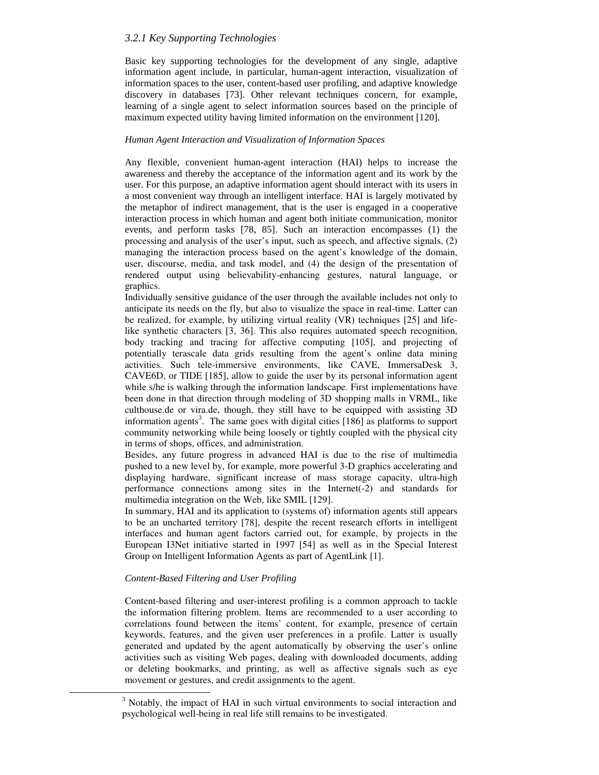## *3.2.1 Key Supporting Technologies*

Basic key supporting technologies for the development of any single, adaptive information agent include, in particular, human-agent interaction, visualization of information spaces to the user, content-based user profiling, and adaptive knowledge discovery in databases [73]. Other relevant techniques concern, for example, learning of a single agent to select information sources based on the principle of maximum expected utility having limited information on the environment [120].

#### *Human Agent Interaction and Visualization of Information Spaces*

Any flexible, convenient human-agent interaction (HAI) helps to increase the awareness and thereby the acceptance of the information agent and its work by the user. For this purpose, an adaptive information agent should interact with its users in a most convenient way through an intelligent interface. HAI is largely motivated by the metaphor of indirect management, that is the user is engaged in a cooperative interaction process in which human and agent both initiate communication, monitor events, and perform tasks [78, 85]. Such an interaction encompasses (1) the processing and analysis of the user's input, such as speech, and affective signals, (2) managing the interaction process based on the agent's knowledge of the domain, user, discourse, media, and task model, and (4) the design of the presentation of rendered output using believability-enhancing gestures, natural language, or graphics.

Individually sensitive guidance of the user through the available includes not only to anticipate its needs on the fly, but also to visualize the space in real-time. Latter can be realized, for example, by utilizing virtual reality (VR) techniques [25] and lifelike synthetic characters [3, 36]. This also requires automated speech recognition, body tracking and tracing for affective computing [105], and projecting of potentially terascale data grids resulting from the agent's online data mining activities. Such tele-immersive environments, like CAVE, ImmersaDesk 3, CAVE6D, or TIDE [185], allow to guide the user by its personal information agent while s/he is walking through the information landscape. First implementations have been done in that direction through modeling of 3D shopping malls in VRML, like culthouse.de or vira.de, though, they still have to be equipped with assisting 3D information agents<sup>3</sup>. The same goes with digital cities [186] as platforms to support community networking while being loosely or tightly coupled with the physical city in terms of shops, offices, and administration.

Besides, any future progress in advanced HAI is due to the rise of multimedia pushed to a new level by, for example, more powerful 3-D graphics accelerating and displaying hardware, significant increase of mass storage capacity, ultra-high performance connections among sites in the Internet(-2) and standards for multimedia integration on the Web, like SMIL [129].

In summary, HAI and its application to (systems of) information agents still appears to be an uncharted territory [78], despite the recent research efforts in intelligent interfaces and human agent factors carried out, for example, by projects in the European I3Net initiative started in 1997 [54] as well as in the Special Interest Group on Intelligent Information Agents as part of AgentLink [1].

#### *Content-Based Filtering and User Profiling*

 $\overline{a}$ 

Content-based filtering and user-interest profiling is a common approach to tackle the information filtering problem. Items are recommended to a user according to correlations found between the items' content, for example, presence of certain keywords, features, and the given user preferences in a profile. Latter is usually generated and updated by the agent automatically by observing the user's online activities such as visiting Web pages, dealing with downloaded documents, adding or deleting bookmarks, and printing, as well as affective signals such as eye movement or gestures, and credit assignments to the agent.

<sup>&</sup>lt;sup>3</sup> Notably, the impact of HAI in such virtual environments to social interaction and psychological well-being in real life still remains to be investigated.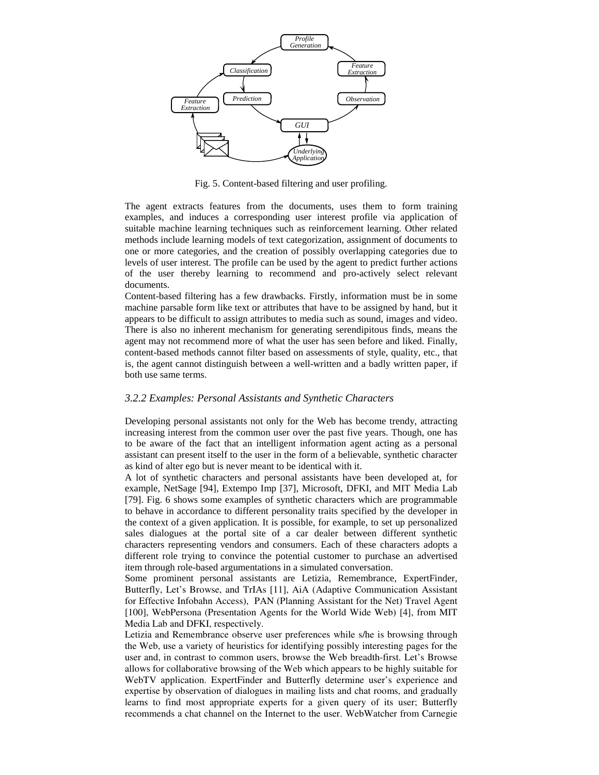

Fig. 5. Content-based filtering and user profiling.

The agent extracts features from the documents, uses them to form training examples, and induces a corresponding user interest profile via application of suitable machine learning techniques such as reinforcement learning. Other related methods include learning models of text categorization, assignment of documents to one or more categories, and the creation of possibly overlapping categories due to levels of user interest. The profile can be used by the agent to predict further actions of the user thereby learning to recommend and pro-actively select relevant documents.

Content-based filtering has a few drawbacks. Firstly, information must be in some machine parsable form like text or attributes that have to be assigned by hand, but it appears to be difficult to assign attributes to media such as sound, images and video. There is also no inherent mechanism for generating serendipitous finds, means the agent may not recommend more of what the user has seen before and liked. Finally, content-based methods cannot filter based on assessments of style, quality, etc., that is, the agent cannot distinguish between a well-written and a badly written paper, if both use same terms.

#### *3.2.2 Examples: Personal Assistants and Synthetic Characters*

Developing personal assistants not only for the Web has become trendy, attracting increasing interest from the common user over the past five years. Though, one has to be aware of the fact that an intelligent information agent acting as a personal assistant can present itself to the user in the form of a believable, synthetic character as kind of alter ego but is never meant to be identical with it.

A lot of synthetic characters and personal assistants have been developed at, for example, NetSage [94], Extempo Imp [37], Microsoft, DFKI, and MIT Media Lab [79]. Fig. 6 shows some examples of synthetic characters which are programmable to behave in accordance to different personality traits specified by the developer in the context of a given application. It is possible, for example, to set up personalized sales dialogues at the portal site of a car dealer between different synthetic characters representing vendors and consumers. Each of these characters adopts a different role trying to convince the potential customer to purchase an advertised item through role-based argumentations in a simulated conversation.

Some prominent personal assistants are Letizia, Remembrance, ExpertFinder, Butterfly, Let's Browse, and TrIAs [11], AiA (Adaptive Communication Assistant for Effective Infobahn Access), PAN (Planning Assistant for the Net) Travel Agent [100], WebPersona (Presentation Agents for the World Wide Web) [4], from MIT Media Lab and DFKI, respectively.

Letizia and Remembrance observe user preferences while s/he is browsing through the Web, use a variety of heuristics for identifying possibly interesting pages for the user and, in contrast to common users, browse the Web breadth-first. Let's Browse allows for collaborative browsing of the Web which appears to be highly suitable for WebTV application. ExpertFinder and Butterfly determine user's experience and expertise by observation of dialogues in mailing lists and chat rooms, and gradually learns to find most appropriate experts for a given query of its user; Butterfly recommends a chat channel on the Internet to the user. WebWatcher from Carnegie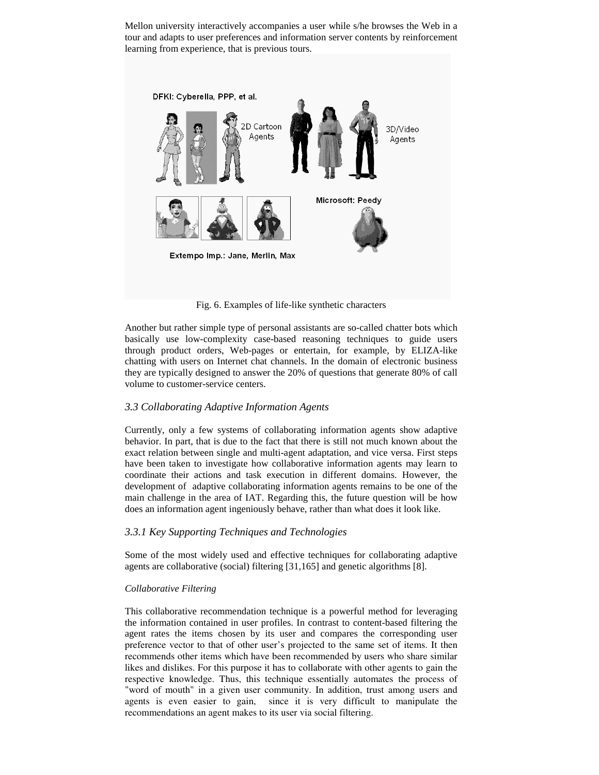Mellon university interactively accompanies a user while s/he browses the Web in a tour and adapts to user preferences and information server contents by reinforcement learning from experience, that is previous tours.



Fig. 6. Examples of life-like synthetic characters

Another but rather simple type of personal assistants are so-called chatter bots which basically use low-complexity case-based reasoning techniques to guide users through product orders, Web-pages or entertain, for example, by ELIZA-like chatting with users on Internet chat channels. In the domain of electronic business they are typically designed to answer the 20% of questions that generate 80% of call volume to customer-service centers.

#### *3.3 Collaborating Adaptive Information Agents*

Currently, only a few systems of collaborating information agents show adaptive behavior. In part, that is due to the fact that there is still not much known about the exact relation between single and multi-agent adaptation, and vice versa. First steps have been taken to investigate how collaborative information agents may learn to coordinate their actions and task execution in different domains. However, the development of adaptive collaborating information agents remains to be one of the main challenge in the area of IAT. Regarding this, the future question will be how does an information agent ingeniously behave, rather than what does it look like.

## *3.3.1 Key Supporting Techniques and Technologies*

Some of the most widely used and effective techniques for collaborating adaptive agents are collaborative (social) filtering [31,165] and genetic algorithms [8].

#### *Collaborative Filtering*

This collaborative recommendation technique is a powerful method for leveraging the information contained in user profiles. In contrast to content-based filtering the agent rates the items chosen by its user and compares the corresponding user preference vector to that of other user's projected to the same set of items. It then recommends other items which have been recommended by users who share similar likes and dislikes. For this purpose it has to collaborate with other agents to gain the respective knowledge. Thus, this technique essentially automates the process of "word of mouth" in a given user community. In addition, trust among users and agents is even easier to gain, since it is very difficult to manipulate the recommendations an agent makes to its user via social filtering.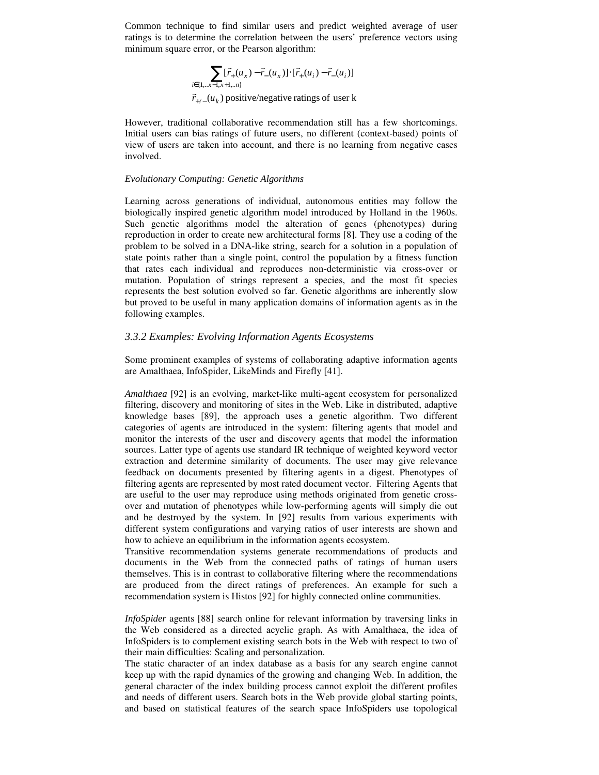Common technique to find similar users and predict weighted average of user ratings is to determine the correlation between the users' preference vectors using minimum square error, or the Pearson algorithm:

> $\vec{r}_{+/-}(u_k)$  positive/negative ratings of user k  $[\vec{r}_+(u_x) - \vec{r}_-(u_x)] \cdot [\vec{r}_+(u_i) - \vec{r}_-(u_i)]$  $i \in \{1, \ldots x-1, x+1, \ldots n\}$  $\vec{r}_+(u_x) - \vec{r}_-(u_x)$   $\cdot$   $[\vec{r}_+(u_i) - \vec{r}_-(u_i)]$  $\sum_{i \in \{1,...x-1,x+1,...n\}} [\vec{r}_+(u_x) - \vec{r}_-(u_x)] \cdot [\vec{r}_+(u_i) - \vec{r}_-]$

However, traditional collaborative recommendation still has a few shortcomings. Initial users can bias ratings of future users, no different (context-based) points of view of users are taken into account, and there is no learning from negative cases involved.

#### *Evolutionary Computing: Genetic Algorithms*

Learning across generations of individual, autonomous entities may follow the biologically inspired genetic algorithm model introduced by Holland in the 1960s. Such genetic algorithms model the alteration of genes (phenotypes) during reproduction in order to create new architectural forms [8]. They use a coding of the problem to be solved in a DNA-like string, search for a solution in a population of state points rather than a single point, control the population by a fitness function that rates each individual and reproduces non-deterministic via cross-over or mutation. Population of strings represent a species, and the most fit species represents the best solution evolved so far. Genetic algorithms are inherently slow but proved to be useful in many application domains of information agents as in the following examples.

#### *3.3.2 Examples: Evolving Information Agents Ecosystems*

Some prominent examples of systems of collaborating adaptive information agents are Amalthaea, InfoSpider, LikeMinds and Firefly [41].

*Amalthaea* [92] is an evolving, market-like multi-agent ecosystem for personalized filtering, discovery and monitoring of sites in the Web. Like in distributed, adaptive knowledge bases [89], the approach uses a genetic algorithm. Two different categories of agents are introduced in the system: filtering agents that model and monitor the interests of the user and discovery agents that model the information sources. Latter type of agents use standard IR technique of weighted keyword vector extraction and determine similarity of documents. The user may give relevance feedback on documents presented by filtering agents in a digest. Phenotypes of filtering agents are represented by most rated document vector. Filtering Agents that are useful to the user may reproduce using methods originated from genetic crossover and mutation of phenotypes while low-performing agents will simply die out and be destroyed by the system. In [92] results from various experiments with different system configurations and varying ratios of user interests are shown and how to achieve an equilibrium in the information agents ecosystem.

Transitive recommendation systems generate recommendations of products and documents in the Web from the connected paths of ratings of human users themselves. This is in contrast to collaborative filtering where the recommendations are produced from the direct ratings of preferences. An example for such a recommendation system is Histos [92] for highly connected online communities.

*InfoSpider* agents [88] search online for relevant information by traversing links in the Web considered as a directed acyclic graph. As with Amalthaea, the idea of InfoSpiders is to complement existing search bots in the Web with respect to two of their main difficulties: Scaling and personalization.

The static character of an index database as a basis for any search engine cannot keep up with the rapid dynamics of the growing and changing Web. In addition, the general character of the index building process cannot exploit the different profiles and needs of different users. Search bots in the Web provide global starting points, and based on statistical features of the search space InfoSpiders use topological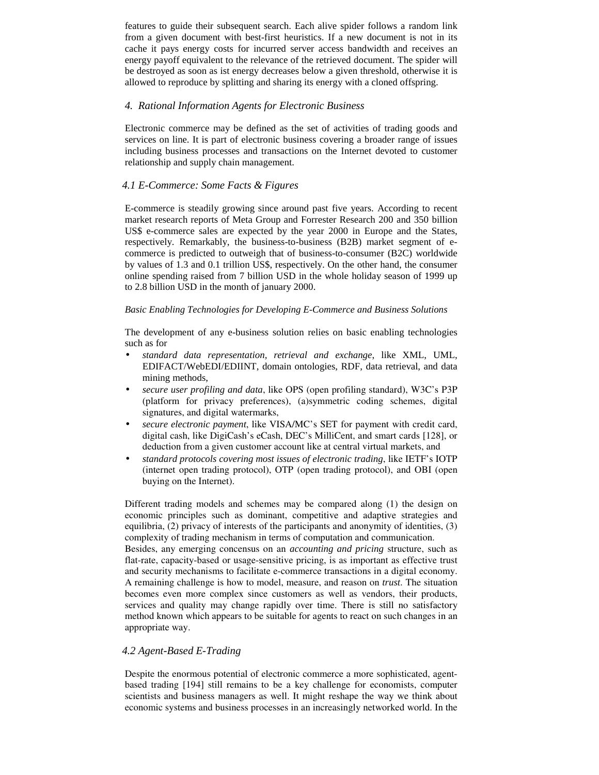features to guide their subsequent search. Each alive spider follows a random link from a given document with best-first heuristics. If a new document is not in its cache it pays energy costs for incurred server access bandwidth and receives an energy payoff equivalent to the relevance of the retrieved document. The spider will be destroyed as soon as ist energy decreases below a given threshold, otherwise it is allowed to reproduce by splitting and sharing its energy with a cloned offspring.

## *4. Rational Information Agents for Electronic Business*

Electronic commerce may be defined as the set of activities of trading goods and services on line. It is part of electronic business covering a broader range of issues including business processes and transactions on the Internet devoted to customer relationship and supply chain management.

## *4.1 E-Commerce: Some Facts & Figures*

E-commerce is steadily growing since around past five years. According to recent market research reports of Meta Group and Forrester Research 200 and 350 billion US\$ e-commerce sales are expected by the year 2000 in Europe and the States, respectively. Remarkably, the business-to-business (B2B) market segment of ecommerce is predicted to outweigh that of business-to-consumer (B2C) worldwide by values of 1.3 and 0.1 trillion US\$, respectively. On the other hand, the consumer online spending raised from 7 billion USD in the whole holiday season of 1999 up to 2.8 billion USD in the month of january 2000.

## *Basic Enabling Technologies for Developing E-Commerce and Business Solutions*

The development of any e-business solution relies on basic enabling technologies such as for

- *standard data representation, retrieval and exchange*, like XML, UML, EDIFACT/WebEDI/EDIINT, domain ontologies, RDF, data retrieval, and data mining methods,
- *secure user profiling and data*, like OPS (open profiling standard), W3C's P3P (platform for privacy preferences), (a)symmetric coding schemes, digital signatures, and digital watermarks,
- *secure electronic payment*, like VISA/MC's SET for payment with credit card, digital cash, like DigiCash's eCash, DEC's MilliCent, and smart cards [128], or deduction from a given customer account like at central virtual markets, and
- *standard protocols covering most issues of electronic trading*, like IETF's IOTP (internet open trading protocol), OTP (open trading protocol), and OBI (open buying on the Internet).

Different trading models and schemes may be compared along (1) the design on economic principles such as dominant, competitive and adaptive strategies and equilibria, (2) privacy of interests of the participants and anonymity of identities, (3) complexity of trading mechanism in terms of computation and communication.

Besides, any emerging concensus on an *accounting and pricing* structure, such as flat-rate, capacity-based or usage-sensitive pricing, is as important as effective trust and security mechanisms to facilitate e-commerce transactions in a digital economy. A remaining challenge is how to model, measure, and reason on *trust*. The situation becomes even more complex since customers as well as vendors, their products, services and quality may change rapidly over time. There is still no satisfactory method known which appears to be suitable for agents to react on such changes in an appropriate way.

## *4.2 Agent-Based E-Trading*

Despite the enormous potential of electronic commerce a more sophisticated, agentbased trading [194] still remains to be a key challenge for economists, computer scientists and business managers as well. It might reshape the way we think about economic systems and business processes in an increasingly networked world. In the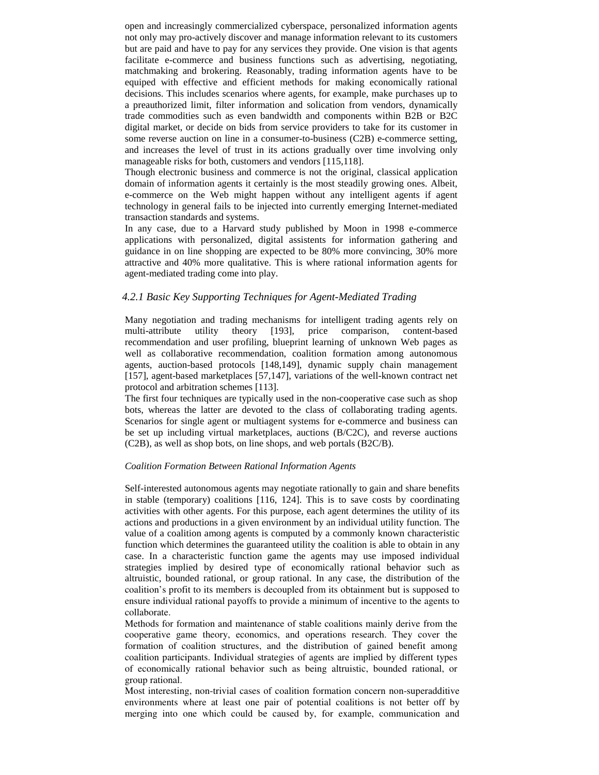open and increasingly commercialized cyberspace, personalized information agents not only may pro-actively discover and manage information relevant to its customers but are paid and have to pay for any services they provide. One vision is that agents facilitate e-commerce and business functions such as advertising, negotiating, matchmaking and brokering. Reasonably, trading information agents have to be equiped with effective and efficient methods for making economically rational decisions. This includes scenarios where agents, for example, make purchases up to a preauthorized limit, filter information and solication from vendors, dynamically trade commodities such as even bandwidth and components within B2B or B2C digital market, or decide on bids from service providers to take for its customer in some reverse auction on line in a consumer-to-business (C2B) e-commerce setting, and increases the level of trust in its actions gradually over time involving only manageable risks for both, customers and vendors [115,118].

Though electronic business and commerce is not the original, classical application domain of information agents it certainly is the most steadily growing ones. Albeit, e-commerce on the Web might happen without any intelligent agents if agent technology in general fails to be injected into currently emerging Internet-mediated transaction standards and systems.

In any case, due to a Harvard study published by Moon in 1998 e-commerce applications with personalized, digital assistents for information gathering and guidance in on line shopping are expected to be 80% more convincing, 30% more attractive and 40% more qualitative. This is where rational information agents for agent-mediated trading come into play.

#### *4.2.1 Basic Key Supporting Techniques for Agent-Mediated Trading*

Many negotiation and trading mechanisms for intelligent trading agents rely on multi-attribute utility theory [193], price comparison, content-based recommendation and user profiling, blueprint learning of unknown Web pages as well as collaborative recommendation, coalition formation among autonomous agents, auction-based protocols [148,149], dynamic supply chain management [157], agent-based marketplaces [57,147], variations of the well-known contract net protocol and arbitration schemes [113].

The first four techniques are typically used in the non-cooperative case such as shop bots, whereas the latter are devoted to the class of collaborating trading agents. Scenarios for single agent or multiagent systems for e-commerce and business can be set up including virtual marketplaces, auctions (B/C2C), and reverse auctions (C2B), as well as shop bots, on line shops, and web portals (B2C/B).

#### *Coalition Formation Between Rational Information Agents*

Self-interested autonomous agents may negotiate rationally to gain and share benefits in stable (temporary) coalitions [116, 124]. This is to save costs by coordinating activities with other agents. For this purpose, each agent determines the utility of its actions and productions in a given environment by an individual utility function. The value of a coalition among agents is computed by a commonly known characteristic function which determines the guaranteed utility the coalition is able to obtain in any case. In a characteristic function game the agents may use imposed individual strategies implied by desired type of economically rational behavior such as altruistic, bounded rational, or group rational. In any case, the distribution of the coalition's profit to its members is decoupled from its obtainment but is supposed to ensure individual rational payoffs to provide a minimum of incentive to the agents to collaborate.

Methods for formation and maintenance of stable coalitions mainly derive from the cooperative game theory, economics, and operations research. They cover the formation of coalition structures, and the distribution of gained benefit among coalition participants. Individual strategies of agents are implied by different types of economically rational behavior such as being altruistic, bounded rational, or group rational.

Most interesting, non-trivial cases of coalition formation concern non-superadditive environments where at least one pair of potential coalitions is not better off by merging into one which could be caused by, for example, communication and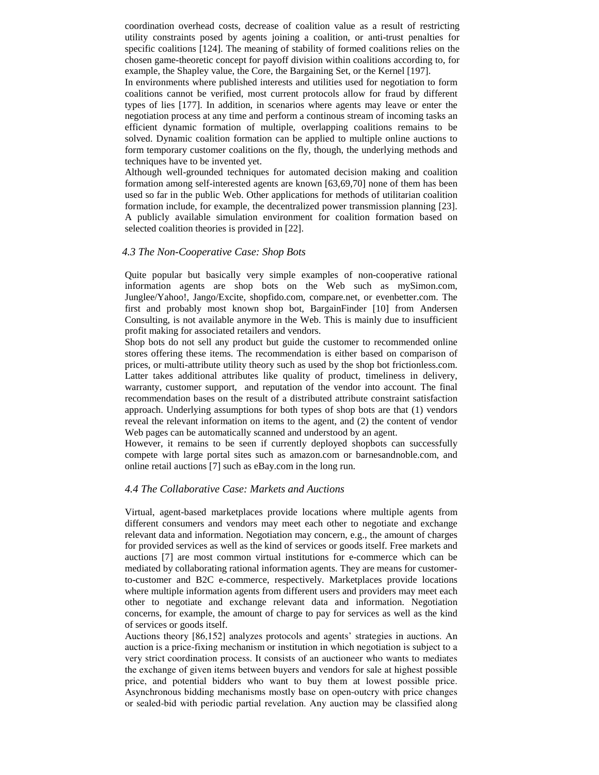coordination overhead costs, decrease of coalition value as a result of restricting utility constraints posed by agents joining a coalition, or anti-trust penalties for specific coalitions [124]. The meaning of stability of formed coalitions relies on the chosen game-theoretic concept for payoff division within coalitions according to, for example, the Shapley value, the Core, the Bargaining Set, or the Kernel [197].

In environments where published interests and utilities used for negotiation to form coalitions cannot be verified, most current protocols allow for fraud by different types of lies [177]. In addition, in scenarios where agents may leave or enter the negotiation process at any time and perform a continous stream of incoming tasks an efficient dynamic formation of multiple, overlapping coalitions remains to be solved. Dynamic coalition formation can be applied to multiple online auctions to form temporary customer coalitions on the fly, though, the underlying methods and techniques have to be invented yet.

Although well-grounded techniques for automated decision making and coalition formation among self-interested agents are known [63,69,70] none of them has been used so far in the public Web. Other applications for methods of utilitarian coalition formation include, for example, the decentralized power transmission planning [23]. A publicly available simulation environment for coalition formation based on selected coalition theories is provided in [22].

#### *4.3 The Non-Cooperative Case: Shop Bots*

Quite popular but basically very simple examples of non-cooperative rational information agents are shop bots on the Web such as mySimon.com, Junglee/Yahoo!, Jango/Excite, shopfido.com, compare.net, or evenbetter.com. The first and probably most known shop bot, BargainFinder [10] from Andersen Consulting, is not available anymore in the Web. This is mainly due to insufficient profit making for associated retailers and vendors.

Shop bots do not sell any product but guide the customer to recommended online stores offering these items. The recommendation is either based on comparison of prices, or multi-attribute utility theory such as used by the shop bot frictionless.com. Latter takes additional attributes like quality of product, timeliness in delivery, warranty, customer support, and reputation of the vendor into account. The final recommendation bases on the result of a distributed attribute constraint satisfaction approach. Underlying assumptions for both types of shop bots are that (1) vendors reveal the relevant information on items to the agent, and (2) the content of vendor Web pages can be automatically scanned and understood by an agent.

However, it remains to be seen if currently deployed shopbots can successfully compete with large portal sites such as amazon.com or barnesandnoble.com, and online retail auctions [7] such as eBay.com in the long run.

## *4.4 The Collaborative Case: Markets and Auctions*

Virtual, agent-based marketplaces provide locations where multiple agents from different consumers and vendors may meet each other to negotiate and exchange relevant data and information. Negotiation may concern, e.g., the amount of charges for provided services as well as the kind of services or goods itself. Free markets and auctions [7] are most common virtual institutions for e-commerce which can be mediated by collaborating rational information agents. They are means for customerto-customer and B2C e-commerce, respectively. Marketplaces provide locations where multiple information agents from different users and providers may meet each other to negotiate and exchange relevant data and information. Negotiation concerns, for example, the amount of charge to pay for services as well as the kind of services or goods itself.

Auctions theory [86,152] analyzes protocols and agents' strategies in auctions. An auction is a price-fixing mechanism or institution in which negotiation is subject to a very strict coordination process. It consists of an auctioneer who wants to mediates the exchange of given items between buyers and vendors for sale at highest possible price, and potential bidders who want to buy them at lowest possible price. Asynchronous bidding mechanisms mostly base on open-outcry with price changes or sealed-bid with periodic partial revelation. Any auction may be classified along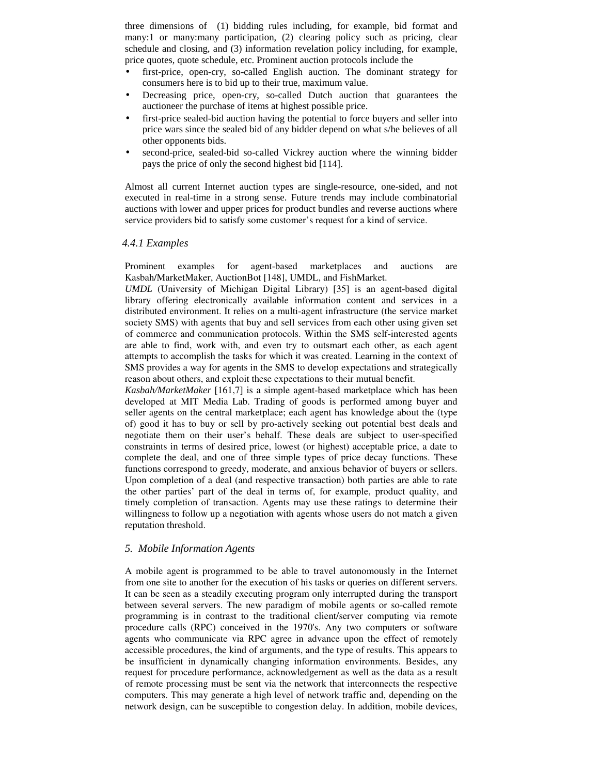three dimensions of (1) bidding rules including, for example, bid format and many:1 or many:many participation, (2) clearing policy such as pricing, clear schedule and closing, and (3) information revelation policy including, for example, price quotes, quote schedule, etc. Prominent auction protocols include the

- first-price, open-cry, so-called English auction. The dominant strategy for consumers here is to bid up to their true, maximum value.
- Decreasing price, open-cry, so-called Dutch auction that guarantees the auctioneer the purchase of items at highest possible price.
- first-price sealed-bid auction having the potential to force buyers and seller into price wars since the sealed bid of any bidder depend on what s/he believes of all other opponents bids.
- second-price, sealed-bid so-called Vickrey auction where the winning bidder pays the price of only the second highest bid [114].

Almost all current Internet auction types are single-resource, one-sided, and not executed in real-time in a strong sense. Future trends may include combinatorial auctions with lower and upper prices for product bundles and reverse auctions where service providers bid to satisfy some customer's request for a kind of service.

## *4.4.1 Examples*

Prominent examples for agent-based marketplaces and auctions are Kasbah/MarketMaker, AuctionBot [148], UMDL, and FishMarket.

*UMDL* (University of Michigan Digital Library) [35] is an agent-based digital library offering electronically available information content and services in a distributed environment. It relies on a multi-agent infrastructure (the service market society SMS) with agents that buy and sell services from each other using given set of commerce and communication protocols. Within the SMS self-interested agents are able to find, work with, and even try to outsmart each other, as each agent attempts to accomplish the tasks for which it was created. Learning in the context of SMS provides a way for agents in the SMS to develop expectations and strategically reason about others, and exploit these expectations to their mutual benefit.

*Kasbah/MarketMaker* [161,7] is a simple agent-based marketplace which has been developed at MIT Media Lab. Trading of goods is performed among buyer and seller agents on the central marketplace; each agent has knowledge about the (type of) good it has to buy or sell by pro-actively seeking out potential best deals and negotiate them on their user's behalf. These deals are subject to user-specified constraints in terms of desired price, lowest (or highest) acceptable price, a date to complete the deal, and one of three simple types of price decay functions. These functions correspond to greedy, moderate, and anxious behavior of buyers or sellers. Upon completion of a deal (and respective transaction) both parties are able to rate the other parties' part of the deal in terms of, for example, product quality, and timely completion of transaction. Agents may use these ratings to determine their willingness to follow up a negotiation with agents whose users do not match a given reputation threshold.

#### *5. Mobile Information Agents*

A mobile agent is programmed to be able to travel autonomously in the Internet from one site to another for the execution of his tasks or queries on different servers. It can be seen as a steadily executing program only interrupted during the transport between several servers. The new paradigm of mobile agents or so-called remote programming is in contrast to the traditional client/server computing via remote procedure calls (RPC) conceived in the 1970's. Any two computers or software agents who communicate via RPC agree in advance upon the effect of remotely accessible procedures, the kind of arguments, and the type of results. This appears to be insufficient in dynamically changing information environments. Besides, any request for procedure performance, acknowledgement as well as the data as a result of remote processing must be sent via the network that interconnects the respective computers. This may generate a high level of network traffic and, depending on the network design, can be susceptible to congestion delay. In addition, mobile devices,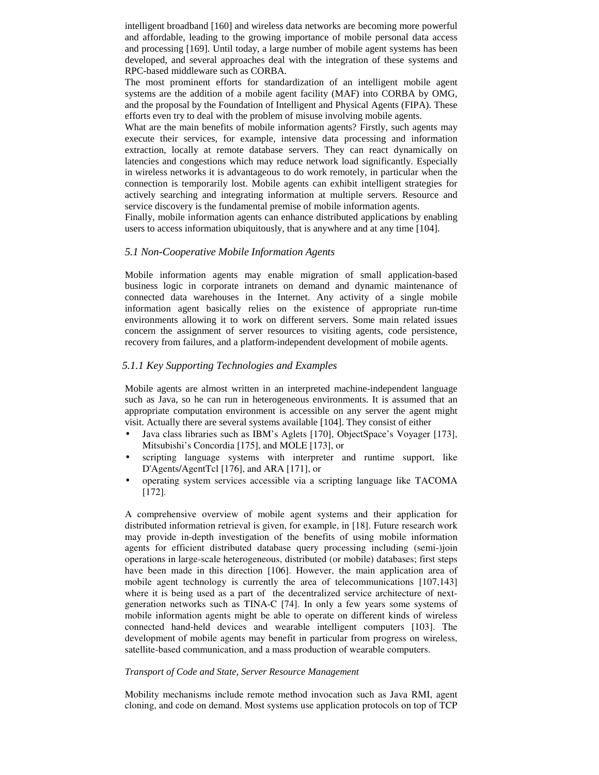intelligent broadband [160] and wireless data networks are becoming more powerful and affordable, leading to the growing importance of mobile personal data access and processing [169]. Until today, a large number of mobile agent systems has been developed, and several approaches deal with the integration of these systems and RPC-based middleware such as CORBA.

The most prominent efforts for standardization of an intelligent mobile agent systems are the addition of a mobile agent facility (MAF) into CORBA by OMG, and the proposal by the Foundation of Intelligent and Physical Agents (FIPA). These efforts even try to deal with the problem of misuse involving mobile agents.

What are the main benefits of mobile information agents? Firstly, such agents may execute their services, for example, intensive data processing and information extraction, locally at remote database servers. They can react dynamically on latencies and congestions which may reduce network load significantly. Especially in wireless networks it is advantageous to do work remotely, in particular when the connection is temporarily lost. Mobile agents can exhibit intelligent strategies for actively searching and integrating information at multiple servers. Resource and service discovery is the fundamental premise of mobile information agents.

Finally, mobile information agents can enhance distributed applications by enabling users to access information ubiquitously, that is anywhere and at any time [104].

#### *5.1 Non-Cooperative Mobile Information Agents*

Mobile information agents may enable migration of small application-based business logic in corporate intranets on demand and dynamic maintenance of connected data warehouses in the Internet. Any activity of a single mobile information agent basically relies on the existence of appropriate run-time environments allowing it to work on different servers. Some main related issues concern the assignment of server resources to visiting agents, code persistence, recovery from failures, and a platform-independent development of mobile agents.

#### *5.1.1 Key Supporting Technologies and Examples*

Mobile agents are almost written in an interpreted machine-independent language such as Java, so he can run in heterogeneous environments. It is assumed that an appropriate computation environment is accessible on any server the agent might visit. Actually there are several systems available [104]. They consist of either

- Java class libraries such as IBM's Aglets [170], ObjectSpace's Voyager [173], Mitsubishi's Concordia [175], and MOLE [173], or
- scripting language systems with interpreter and runtime support, like D'Agents/AgentTcl [176], and ARA [171], or
- operating system services accessible via a scripting language like TACOMA [172].

A comprehensive overview of mobile agent systems and their application for distributed information retrieval is given, for example, in [18]. Future research work may provide in-depth investigation of the benefits of using mobile information agents for efficient distributed database query processing including (semi-)join operations in large-scale heterogeneous, distributed (or mobile) databases; first steps have been made in this direction [106]. However, the main application area of mobile agent technology is currently the area of telecommunications [107,143] where it is being used as a part of the decentralized service architecture of nextgeneration networks such as TINA-C [74]. In only a few years some systems of mobile information agents might be able to operate on different kinds of wireless connected hand-held devices and wearable intelligent computers [103]. The development of mobile agents may benefit in particular from progress on wireless, satellite-based communication, and a mass production of wearable computers.

#### *Transport of Code and State, Server Resource Management*

Mobility mechanisms include remote method invocation such as Java RMI, agent cloning, and code on demand. Most systems use application protocols on top of TCP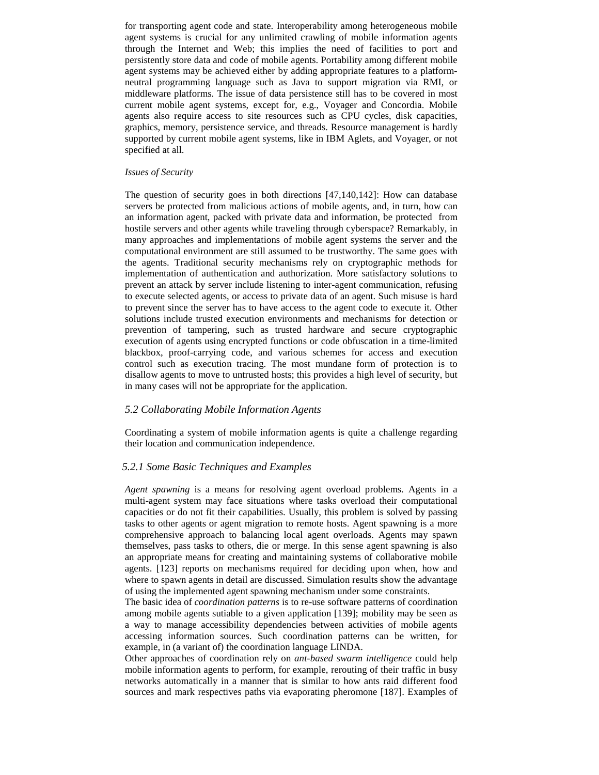for transporting agent code and state. Interoperability among heterogeneous mobile agent systems is crucial for any unlimited crawling of mobile information agents through the Internet and Web; this implies the need of facilities to port and persistently store data and code of mobile agents. Portability among different mobile agent systems may be achieved either by adding appropriate features to a platformneutral programming language such as Java to support migration via RMI, or middleware platforms. The issue of data persistence still has to be covered in most current mobile agent systems, except for, e.g., Voyager and Concordia. Mobile agents also require access to site resources such as CPU cycles, disk capacities, graphics, memory, persistence service, and threads. Resource management is hardly supported by current mobile agent systems, like in IBM Aglets, and Voyager, or not specified at all.

#### *Issues of Security*

The question of security goes in both directions [47,140,142]: How can database servers be protected from malicious actions of mobile agents, and, in turn, how can an information agent, packed with private data and information, be protected from hostile servers and other agents while traveling through cyberspace? Remarkably, in many approaches and implementations of mobile agent systems the server and the computational environment are still assumed to be trustworthy. The same goes with the agents. Traditional security mechanisms rely on cryptographic methods for implementation of authentication and authorization. More satisfactory solutions to prevent an attack by server include listening to inter-agent communication, refusing to execute selected agents, or access to private data of an agent. Such misuse is hard to prevent since the server has to have access to the agent code to execute it. Other solutions include trusted execution environments and mechanisms for detection or prevention of tampering, such as trusted hardware and secure cryptographic execution of agents using encrypted functions or code obfuscation in a time-limited blackbox, proof-carrying code, and various schemes for access and execution control such as execution tracing. The most mundane form of protection is to disallow agents to move to untrusted hosts; this provides a high level of security, but in many cases will not be appropriate for the application.

#### *5.2 Collaborating Mobile Information Agents*

Coordinating a system of mobile information agents is quite a challenge regarding their location and communication independence.

#### *5.2.1 Some Basic Techniques and Examples*

*Agent spawning* is a means for resolving agent overload problems. Agents in a multi-agent system may face situations where tasks overload their computational capacities or do not fit their capabilities. Usually, this problem is solved by passing tasks to other agents or agent migration to remote hosts. Agent spawning is a more comprehensive approach to balancing local agent overloads. Agents may spawn themselves, pass tasks to others, die or merge. In this sense agent spawning is also an appropriate means for creating and maintaining systems of collaborative mobile agents. [123] reports on mechanisms required for deciding upon when, how and where to spawn agents in detail are discussed. Simulation results show the advantage of using the implemented agent spawning mechanism under some constraints.

The basic idea of *coordination patterns* is to re-use software patterns of coordination among mobile agents sutiable to a given application [139]; mobility may be seen as a way to manage accessibility dependencies between activities of mobile agents accessing information sources. Such coordination patterns can be written, for example, in (a variant of) the coordination language LINDA.

Other approaches of coordination rely on *ant-based swarm intelligence* could help mobile information agents to perform, for example, rerouting of their traffic in busy networks automatically in a manner that is similar to how ants raid different food sources and mark respectives paths via evaporating pheromone [187]. Examples of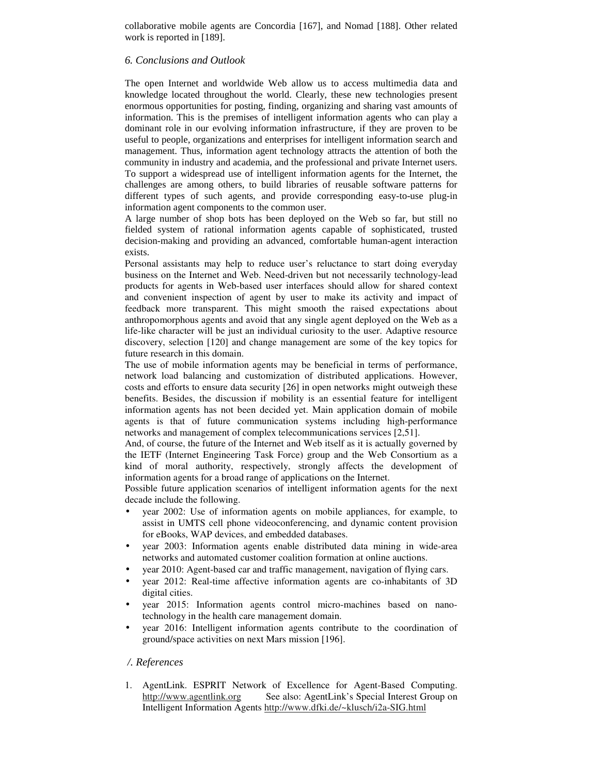collaborative mobile agents are Concordia [167], and Nomad [188]. Other related work is reported in [189].

## *6. Conclusions and Outlook*

The open Internet and worldwide Web allow us to access multimedia data and knowledge located throughout the world. Clearly, these new technologies present enormous opportunities for posting, finding, organizing and sharing vast amounts of information. This is the premises of intelligent information agents who can play a dominant role in our evolving information infrastructure, if they are proven to be useful to people, organizations and enterprises for intelligent information search and management. Thus, information agent technology attracts the attention of both the community in industry and academia, and the professional and private Internet users. To support a widespread use of intelligent information agents for the Internet, the challenges are among others, to build libraries of reusable software patterns for different types of such agents, and provide corresponding easy-to-use plug-in information agent components to the common user.

A large number of shop bots has been deployed on the Web so far, but still no fielded system of rational information agents capable of sophisticated, trusted decision-making and providing an advanced, comfortable human-agent interaction exists.

Personal assistants may help to reduce user's reluctance to start doing everyday business on the Internet and Web. Need-driven but not necessarily technology-lead products for agents in Web-based user interfaces should allow for shared context and convenient inspection of agent by user to make its activity and impact of feedback more transparent. This might smooth the raised expectations about anthropomorphous agents and avoid that any single agent deployed on the Web as a life-like character will be just an individual curiosity to the user. Adaptive resource discovery, selection [120] and change management are some of the key topics for future research in this domain.

The use of mobile information agents may be beneficial in terms of performance, network load balancing and customization of distributed applications. However, costs and efforts to ensure data security [26] in open networks might outweigh these benefits. Besides, the discussion if mobility is an essential feature for intelligent information agents has not been decided yet. Main application domain of mobile agents is that of future communication systems including high-performance networks and management of complex telecommunications services [2,51].

And, of course, the future of the Internet and Web itself as it is actually governed by the IETF (Internet Engineering Task Force) group and the Web Consortium as a kind of moral authority, respectively, strongly affects the development of information agents for a broad range of applications on the Internet.

Possible future application scenarios of intelligent information agents for the next decade include the following.

- year 2002: Use of information agents on mobile appliances, for example, to assist in UMTS cell phone videoconferencing, and dynamic content provision for eBooks, WAP devices, and embedded databases.
- year 2003: Information agents enable distributed data mining in wide-area networks and automated customer coalition formation at online auctions.
- year 2010: Agent-based car and traffic management, navigation of flying cars.
- year 2012: Real-time affective information agents are co-inhabitants of 3D digital cities.
- year 2015: Information agents control micro-machines based on nanotechnology in the health care management domain.
- year 2016: Intelligent information agents contribute to the coordination of ground/space activities on next Mars mission [196].

## */. References*

1. AgentLink. ESPRIT Network of Excellence for Agent-Based Computing. http://www.agentlink.org See also: AgentLink's Special Interest Group on Intelligent Information Agents http://www.dfki.de/~klusch/i2a-SIG.html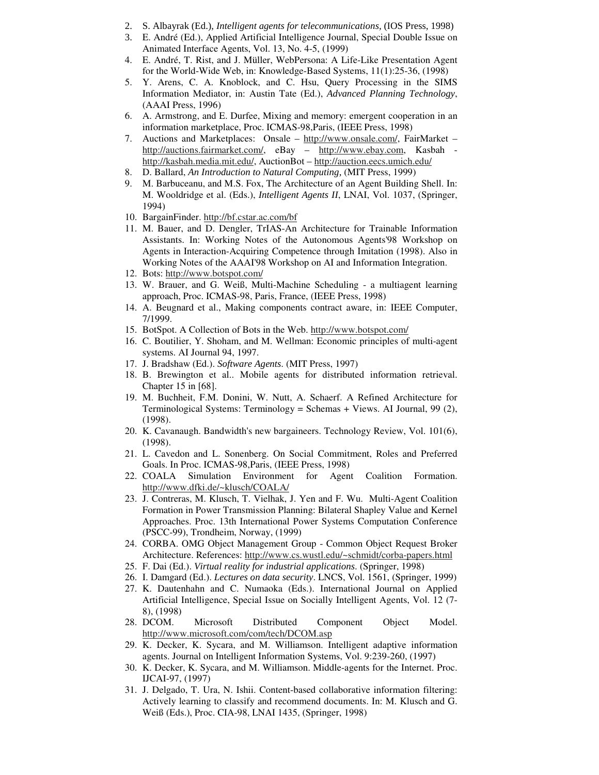- 2. S. Albayrak (Ed.), *Intelligent agents for telecommunications,* (IOS Press, 1998)
- 3. E. André (Ed.), Applied Artificial Intelligence Journal, Special Double Issue on Animated Interface Agents, Vol. 13, No. 4-5, (1999)
- 4. E. André, T. Rist, and J. Müller, WebPersona: A Life-Like Presentation Agent for the World-Wide Web, in: Knowledge-Based Systems, 11(1):25-36, (1998)
- 5. Y. Arens, C. A. Knoblock, and C. Hsu, Query Processing in the SIMS Information Mediator, in: Austin Tate (Ed.), *Advanced Planning Technology*, (AAAI Press, 1996)
- 6. A. Armstrong, and E. Durfee, Mixing and memory: emergent cooperation in an information marketplace, Proc. ICMAS-98,Paris, (IEEE Press, 1998)
- 7. Auctions and Marketplaces: Onsale http://www.onsale.com/, FairMarket http://auctions.fairmarket.com/, eBay – http://www.ebay.com, Kasbah http://kasbah.media.mit.edu/, AuctionBot – http://auction.eecs.umich.edu/
- 8. D. Ballard, *An Introduction to Natural Computing,* (MIT Press, 1999)
- 9. M. Barbuceanu, and M.S. Fox, The Architecture of an Agent Building Shell. In: M. Wooldridge et al. (Eds.), *Intelligent Agents II*, LNAI, Vol. 1037, (Springer, 1994)
- 10. BargainFinder. http://bf.cstar.ac.com/bf
- 11. M. Bauer, and D. Dengler, TrIAS-An Architecture for Trainable Information Assistants. In: Working Notes of the Autonomous Agents'98 Workshop on Agents in Interaction-Acquiring Competence through Imitation (1998). Also in Working Notes of the AAAI'98 Workshop on AI and Information Integration.
- 12. Bots: http://www.botspot.com/
- 13. W. Brauer, and G. Weiß, Multi-Machine Scheduling a multiagent learning approach, Proc. ICMAS-98, Paris, France, (IEEE Press, 1998)
- 14. A. Beugnard et al., Making components contract aware, in: IEEE Computer, 7/1999.
- 15. BotSpot. A Collection of Bots in the Web. http://www.botspot.com/
- 16. C. Boutilier, Y. Shoham, and M. Wellman: Economic principles of multi-agent systems. AI Journal 94, 1997.
- 17. J. Bradshaw (Ed.). *Software Agents*. (MIT Press, 1997)
- 18. B. Brewington et al.. Mobile agents for distributed information retrieval. Chapter 15 in [68].
- 19. M. Buchheit, F.M. Donini, W. Nutt, A. Schaerf. A Refined Architecture for Terminological Systems: Terminology = Schemas + Views. AI Journal, 99 (2), (1998).
- 20. K. Cavanaugh. Bandwidth's new bargaineers. Technology Review, Vol. 101(6), (1998).
- 21. L. Cavedon and L. Sonenberg. On Social Commitment, Roles and Preferred Goals. In Proc. ICMAS-98,Paris, (IEEE Press, 1998)
- 22. COALA Simulation Environment for Agent Coalition Formation. http://www.dfki.de/~klusch/COALA/
- 23. J. Contreras, M. Klusch, T. Vielhak, J. Yen and F. Wu. Multi-Agent Coalition Formation in Power Transmission Planning: Bilateral Shapley Value and Kernel Approaches. Proc. 13th International Power Systems Computation Conference (PSCC-99), Trondheim, Norway, (1999)
- 24. CORBA. OMG Object Management Group Common Object Request Broker Architecture. References: http://www.cs.wustl.edu/~schmidt/corba-papers.html
- 25. F. Dai (Ed.). *Virtual reality for industrial applications*. (Springer, 1998)
- 26. I. Damgard (Ed.). *Lectures on data security*. LNCS, Vol. 1561, (Springer, 1999)
- 27. K. Dautenhahn and C. Numaoka (Eds.). International Journal on Applied Artificial Intelligence, Special Issue on Socially Intelligent Agents, Vol. 12 (7- 8), (1998)
- 28. DCOM. Microsoft Distributed Component Object Model. http://www.microsoft.com/com/tech/DCOM.asp
- 29. K. Decker, K. Sycara, and M. Williamson. Intelligent adaptive information agents. Journal on Intelligent Information Systems, Vol. 9:239-260, (1997)
- 30. K. Decker, K. Sycara, and M. Williamson. Middle-agents for the Internet. Proc. IJCAI-97, (1997)
- 31. J. Delgado, T. Ura, N. Ishii. Content-based collaborative information filtering: Actively learning to classify and recommend documents. In: M. Klusch and G. Weiß (Eds.), Proc. CIA-98, LNAI 1435, (Springer, 1998)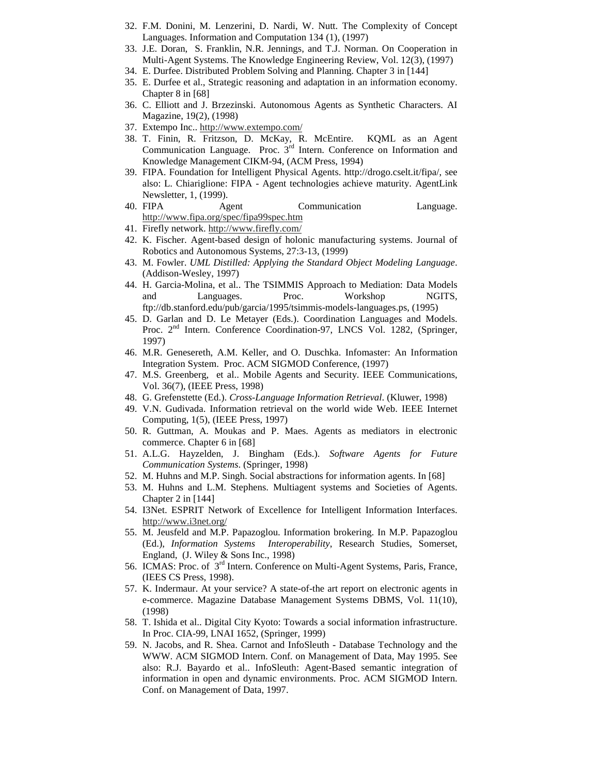- 32. F.M. Donini, M. Lenzerini, D. Nardi, W. Nutt. The Complexity of Concept Languages. Information and Computation 134 (1), (1997)
- 33. J.E. Doran, S. Franklin, N.R. Jennings, and T.J. Norman. On Cooperation in Multi-Agent Systems. The Knowledge Engineering Review, Vol. 12(3), (1997)
- 34. E. Durfee. Distributed Problem Solving and Planning. Chapter 3 in [144]
- 35. E. Durfee et al., Strategic reasoning and adaptation in an information economy. Chapter 8 in [68]
- 36. C. Elliott and J. Brzezinski. Autonomous Agents as Synthetic Characters. AI Magazine, 19(2), (1998)
- 37. Extempo Inc.. http://www.extempo.com/
- 38. T. Finin, R. Fritzson, D. McKay, R. McEntire. KQML as an Agent Communication Language. Proc.  $3<sup>rd</sup>$  Intern. Conference on Information and Knowledge Management CIKM-94, (ACM Press, 1994)
- 39. FIPA. Foundation for Intelligent Physical Agents. http://drogo.cselt.it/fipa/, see also: L. Chiariglione: FIPA - Agent technologies achieve maturity. AgentLink Newsletter, 1, (1999).
- 40. FIPA Agent Communication Language. http://www.fipa.org/spec/fipa99spec.htm
- 41. Firefly network. http://www.firefly.com/
- 42. K. Fischer. Agent-based design of holonic manufacturing systems. Journal of Robotics and Autonomous Systems, 27:3-13, (1999)
- 43. M. Fowler. *UML Distilled: Applying the Standard Object Modeling Language*. (Addison-Wesley, 1997)
- 44. H. Garcia-Molina, et al.. The TSIMMIS Approach to Mediation: Data Models and Languages. Proc. Workshop NGITS, ftp://db.stanford.edu/pub/garcia/1995/tsimmis-models-languages.ps, (1995)
- 45. D. Garlan and D. Le Metayer (Eds.). Coordination Languages and Models. Proc. 2<sup>nd</sup> Intern. Conference Coordination-97, LNCS Vol. 1282, (Springer, 1997)
- 46. M.R. Genesereth, A.M. Keller, and O. Duschka. Infomaster: An Information Integration System. Proc. ACM SIGMOD Conference, (1997)
- 47. M.S. Greenberg, et al.. Mobile Agents and Security. IEEE Communications, Vol. 36(7), (IEEE Press, 1998)
- 48. G. Grefenstette (Ed.). *Cross-Language Information Retrieval*. (Kluwer, 1998)
- 49. V.N. Gudivada. Information retrieval on the world wide Web. IEEE Internet Computing, 1(5), (IEEE Press, 1997)
- 50. R. Guttman, A. Moukas and P. Maes. Agents as mediators in electronic commerce. Chapter 6 in [68]
- 51. A.L.G. Hayzelden, J. Bingham (Eds.). *Software Agents for Future Communication Systems*. (Springer, 1998)
- 52. M. Huhns and M.P. Singh. Social abstractions for information agents. In [68]
- 53. M. Huhns and L.M. Stephens. Multiagent systems and Societies of Agents. Chapter 2 in [144]
- 54. I3Net. ESPRIT Network of Excellence for Intelligent Information Interfaces. http://www.i3net.org/
- 55. M. Jeusfeld and M.P. Papazoglou. Information brokering. In M.P. Papazoglou (Ed.), *Information Systems Interoperability*, Research Studies, Somerset, England, (J. Wiley & Sons Inc., 1998)
- 56. ICMAS: Proc. of 3<sup>rd</sup> Intern. Conference on Multi-Agent Systems, Paris, France, (IEES CS Press, 1998).
- 57. K. Indermaur. At your service? A state-of-the art report on electronic agents in e-commerce. Magazine Database Management Systems DBMS, Vol. 11(10), (1998)
- 58. T. Ishida et al.. Digital City Kyoto: Towards a social information infrastructure. In Proc. CIA-99, LNAI 1652, (Springer, 1999)
- 59. N. Jacobs, and R. Shea. Carnot and InfoSleuth Database Technology and the WWW. ACM SIGMOD Intern. Conf. on Management of Data, May 1995. See also: R.J. Bayardo et al.. InfoSleuth: Agent-Based semantic integration of information in open and dynamic environments. Proc. ACM SIGMOD Intern. Conf. on Management of Data, 1997.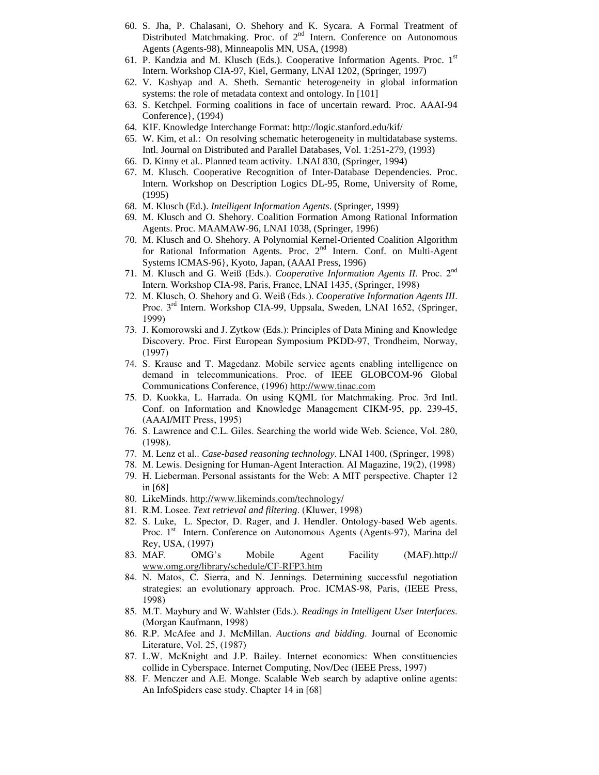- 60. S. Jha, P. Chalasani, O. Shehory and K. Sycara. A Formal Treatment of Distributed Matchmaking. Proc. of  $2<sup>nd</sup>$  Intern. Conference on Autonomous Agents (Agents-98), Minneapolis MN, USA, (1998)
- 61. P. Kandzia and M. Klusch (Eds.). Cooperative Information Agents. Proc.  $1<sup>st</sup>$ Intern. Workshop CIA-97, Kiel, Germany, LNAI 1202, (Springer, 1997)
- 62. V. Kashyap and A. Sheth. Semantic heterogeneity in global information systems: the role of metadata context and ontology. In [101]
- 63. S. Ketchpel. Forming coalitions in face of uncertain reward. Proc. AAAI-94 Conference}, (1994)
- 64. KIF. Knowledge Interchange Format: http://logic.stanford.edu/kif/
- 65. W. Kim, et al.: On resolving schematic heterogeneity in multidatabase systems. Intl. Journal on Distributed and Parallel Databases, Vol. 1:251-279, (1993)
- 66. D. Kinny et al.. Planned team activity. LNAI 830, (Springer, 1994)
- 67. M. Klusch. Cooperative Recognition of Inter-Database Dependencies. Proc. Intern. Workshop on Description Logics DL-95, Rome, University of Rome, (1995)
- 68. M. Klusch (Ed.). *Intelligent Information Agents*. (Springer, 1999)
- 69. M. Klusch and O. Shehory. Coalition Formation Among Rational Information Agents. Proc. MAAMAW-96, LNAI 1038, (Springer, 1996)
- 70. M. Klusch and O. Shehory. A Polynomial Kernel-Oriented Coalition Algorithm for Rational Information Agents. Proc. 2<sup>nd</sup> Intern. Conf. on Multi-Agent Systems ICMAS-96}, Kyoto, Japan, (AAAI Press, 1996)
- 71. M. Klusch and G. Weiß (Eds.). *Cooperative Information Agents II*. Proc. 2nd Intern. Workshop CIA-98, Paris, France, LNAI 1435, (Springer, 1998)
- 72. M. Klusch, O. Shehory and G. Weiß (Eds.). *Cooperative Information Agents III*. Proc. 3<sup>rd</sup> Intern. Workshop CIA-99, Uppsala, Sweden, LNAI 1652, (Springer, 1999)
- 73. J. Komorowski and J. Zytkow (Eds.): Principles of Data Mining and Knowledge Discovery. Proc. First European Symposium PKDD-97, Trondheim, Norway, (1997)
- 74. S. Krause and T. Magedanz. Mobile service agents enabling intelligence on demand in telecommunications. Proc. of IEEE GLOBCOM-96 Global Communications Conference, (1996) http://www.tinac.com
- 75. D. Kuokka, L. Harrada. On using KQML for Matchmaking. Proc. 3rd Intl. Conf. on Information and Knowledge Management CIKM-95, pp. 239-45, (AAAI/MIT Press, 1995)
- 76. S. Lawrence and C.L. Giles. Searching the world wide Web. Science, Vol. 280, (1998).
- 77. M. Lenz et al.. *Case-based reasoning technology*. LNAI 1400, (Springer, 1998)
- 78. M. Lewis. Designing for Human-Agent Interaction. AI Magazine, 19(2), (1998)
- 79. H. Lieberman. Personal assistants for the Web: A MIT perspective. Chapter 12 in [68]
- 80. LikeMinds. http://www.likeminds.com/technology/
- 81. R.M. Losee. *Text retrieval and filtering*. (Kluwer, 1998)
- 82. S. Luke, L. Spector, D. Rager, and J. Hendler. Ontology-based Web agents. Proc. 1<sup>st</sup> Intern. Conference on Autonomous Agents (Agents-97), Marina del Rey, USA, (1997)
- 83. MAF. OMG's Mobile Agent Facility (MAF).http:// www.omg.org/library/schedule/CF-RFP3.htm
- 84. N. Matos, C. Sierra, and N. Jennings. Determining successful negotiation strategies: an evolutionary approach. Proc. ICMAS-98, Paris, (IEEE Press, 1998)
- 85. M.T. Maybury and W. Wahlster (Eds.). *Readings in Intelligent User Interfaces*. (Morgan Kaufmann, 1998)
- 86. R.P. McAfee and J. McMillan. *Auctions and bidding*. Journal of Economic Literature, Vol. 25, (1987)
- 87. L.W. McKnight and J.P. Bailey. Internet economics: When constituencies collide in Cyberspace. Internet Computing, Nov/Dec (IEEE Press, 1997)
- 88. F. Menczer and A.E. Monge. Scalable Web search by adaptive online agents: An InfoSpiders case study. Chapter 14 in [68]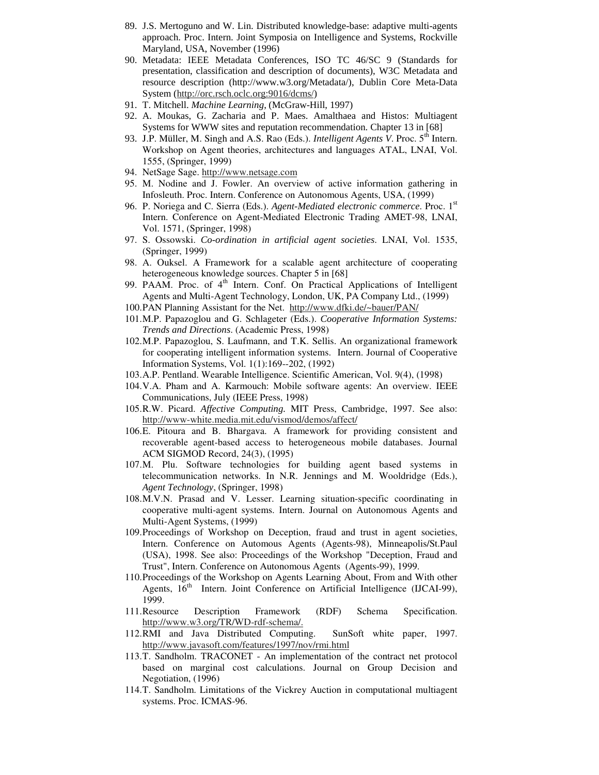- 89. J.S. Mertoguno and W. Lin. Distributed knowledge-base: adaptive multi-agents approach. Proc. Intern. Joint Symposia on Intelligence and Systems, Rockville Maryland, USA, November (1996)
- 90. Metadata: IEEE Metadata Conferences, ISO TC 46/SC 9 (Standards for presentation, classification and description of documents), W3C Metadata and resource description (http://www.w3.org/Metadata/), Dublin Core Meta-Data System (http://orc.rsch.oclc.org:9016/dcms/)
- 91. T. Mitchell. *Machine Learning*, (McGraw-Hill, 1997)
- 92. A. Moukas, G. Zacharia and P. Maes. Amalthaea and Histos: Multiagent Systems for WWW sites and reputation recommendation. Chapter 13 in [68]
- 93. J.P. Müller, M. Singh and A.S. Rao (Eds.). *Intelligent Agents V*. Proc. 5<sup>th</sup> Intern. Workshop on Agent theories, architectures and languages ATAL, LNAI, Vol. 1555, (Springer, 1999)
- 94. NetSage Sage. http://www.netsage.com
- 95. M. Nodine and J. Fowler. An overview of active information gathering in Infosleuth. Proc. Intern. Conference on Autonomous Agents, USA, (1999)
- 96. P. Noriega and C. Sierra (Eds.). *Agent-Mediated electronic commerce*. Proc. 1st Intern. Conference on Agent-Mediated Electronic Trading AMET-98, LNAI, Vol. 1571, (Springer, 1998)
- 97. S. Ossowski. *Co-ordination in artificial agent societies*. LNAI, Vol. 1535, (Springer, 1999)
- 98. A. Ouksel. A Framework for a scalable agent architecture of cooperating heterogeneous knowledge sources. Chapter 5 in [68]
- 99. PAAM. Proc. of 4<sup>th</sup> Intern. Conf. On Practical Applications of Intelligent Agents and Multi-Agent Technology, London, UK, PA Company Ltd., (1999)
- 100.PAN Planning Assistant for the Net. http://www.dfki.de/~bauer/PAN/
- 101.M.P. Papazoglou and G. Schlageter (Eds.). *Cooperative Information Systems: Trends and Directions*. (Academic Press, 1998)
- 102.M.P. Papazoglou, S. Laufmann, and T.K. Sellis. An organizational framework for cooperating intelligent information systems. Intern. Journal of Cooperative Information Systems, Vol. 1(1):169--202, (1992)
- 103.A.P. Pentland. Wearable Intelligence. Scientific American, Vol. 9(4), (1998)
- 104.V.A. Pham and A. Karmouch: Mobile software agents: An overview. IEEE Communications, July (IEEE Press, 1998)
- 105.R.W. Picard. *Affective Computing.* MIT Press, Cambridge, 1997. See also: http://www-white.media.mit.edu/vismod/demos/affect/
- 106.E. Pitoura and B. Bhargava. A framework for providing consistent and recoverable agent-based access to heterogeneous mobile databases. Journal ACM SIGMOD Record, 24(3), (1995)
- 107.M. Plu. Software technologies for building agent based systems in telecommunication networks. In N.R. Jennings and M. Wooldridge (Eds.), *Agent Technology*, (Springer, 1998)
- 108.M.V.N. Prasad and V. Lesser. Learning situation-specific coordinating in cooperative multi-agent systems. Intern. Journal on Autonomous Agents and Multi-Agent Systems, (1999)
- 109.Proceedings of Workshop on Deception, fraud and trust in agent societies, Intern. Conference on Automous Agents (Agents-98), Minneapolis/St.Paul (USA), 1998. See also: Proceedings of the Workshop "Deception, Fraud and Trust", Intern. Conference on Autonomous Agents (Agents-99), 1999.
- 110.Proceedings of the Workshop on Agents Learning About, From and With other Agents,  $16<sup>th</sup>$  Intern. Joint Conference on Artificial Intelligence (IJCAI-99), 1999.
- 111.Resource Description Framework (RDF) Schema Specification. http://www.w3.org/TR/WD-rdf-schema/.
- 112.RMI and Java Distributed Computing. SunSoft white paper, 1997. http://www.javasoft.com/features/1997/nov/rmi.html
- 113.T. Sandholm. TRACONET An implementation of the contract net protocol based on marginal cost calculations. Journal on Group Decision and Negotiation, (1996)
- 114.T. Sandholm. Limitations of the Vickrey Auction in computational multiagent systems. Proc. ICMAS-96.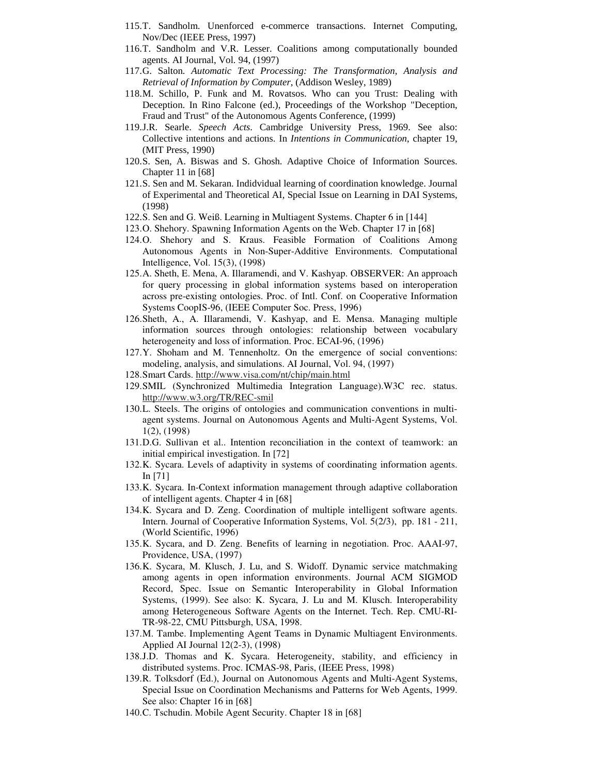- 115.T. Sandholm. Unenforced e-commerce transactions. Internet Computing, Nov/Dec (IEEE Press, 1997)
- 116.T. Sandholm and V.R. Lesser. Coalitions among computationally bounded agents. AI Journal, Vol. 94, (1997)
- 117.G. Salton*. Automatic Text Processing: The Transformation, Analysis and Retrieval of Information by Computer*, (Addison Wesley, 1989)
- 118.M. Schillo, P. Funk and M. Rovatsos. Who can you Trust: Dealing with Deception. In Rino Falcone (ed.), Proceedings of the Workshop "Deception, Fraud and Trust" of the Autonomous Agents Conference, (1999)
- 119.J.R. Searle. *Speech Acts*. Cambridge University Press, 1969. See also: Collective intentions and actions. In *Intentions in Communication*, chapter 19, (MIT Press, 1990)
- 120.S. Sen, A. Biswas and S. Ghosh. Adaptive Choice of Information Sources. Chapter 11 in [68]
- 121.S. Sen and M. Sekaran. Indidvidual learning of coordination knowledge. Journal of Experimental and Theoretical AI, Special Issue on Learning in DAI Systems, (1998)
- 122.S. Sen and G. Weiß. Learning in Multiagent Systems. Chapter 6 in [144]
- 123.O. Shehory. Spawning Information Agents on the Web. Chapter 17 in [68]
- 124.O. Shehory and S. Kraus. Feasible Formation of Coalitions Among Autonomous Agents in Non-Super-Additive Environments. Computational Intelligence, Vol. 15(3), (1998)
- 125.A. Sheth, E. Mena, A. Illaramendi, and V. Kashyap. OBSERVER: An approach for query processing in global information systems based on interoperation across pre-existing ontologies. Proc. of Intl. Conf. on Cooperative Information Systems CoopIS-96, (IEEE Computer Soc. Press, 1996)
- 126.Sheth, A., A. Illaramendi, V. Kashyap, and E. Mensa. Managing multiple information sources through ontologies: relationship between vocabulary heterogeneity and loss of information. Proc. ECAI-96, (1996)
- 127.Y. Shoham and M. Tennenholtz. On the emergence of social conventions: modeling, analysis, and simulations. AI Journal, Vol. 94, (1997)
- 128.Smart Cards. http://www.visa.com/nt/chip/main.html
- 129.SMIL (Synchronized Multimedia Integration Language).W3C rec. status. http://www.w3.org/TR/REC-smil
- 130.L. Steels. The origins of ontologies and communication conventions in multiagent systems. Journal on Autonomous Agents and Multi-Agent Systems, Vol. 1(2), (1998)
- 131.D.G. Sullivan et al.. Intention reconciliation in the context of teamwork: an initial empirical investigation. In [72]
- 132.K. Sycara. Levels of adaptivity in systems of coordinating information agents. In [71]
- 133.K. Sycara. In-Context information management through adaptive collaboration of intelligent agents. Chapter 4 in [68]
- 134.K. Sycara and D. Zeng. Coordination of multiple intelligent software agents. Intern. Journal of Cooperative Information Systems, Vol. 5(2/3), pp. 181 - 211, (World Scientific, 1996)
- 135.K. Sycara, and D. Zeng. Benefits of learning in negotiation. Proc. AAAI-97, Providence, USA, (1997)
- 136.K. Sycara, M. Klusch, J. Lu, and S. Widoff. Dynamic service matchmaking among agents in open information environments. Journal ACM SIGMOD Record, Spec. Issue on Semantic Interoperability in Global Information Systems, (1999). See also: K. Sycara, J. Lu and M. Klusch. Interoperability among Heterogeneous Software Agents on the Internet. Tech. Rep. CMU-RI-TR-98-22, CMU Pittsburgh, USA, 1998.
- 137.M. Tambe. Implementing Agent Teams in Dynamic Multiagent Environments. Applied AI Journal 12(2-3), (1998)
- 138.J.D. Thomas and K. Sycara. Heterogeneity, stability, and efficiency in distributed systems. Proc. ICMAS-98, Paris, (IEEE Press, 1998)
- 139.R. Tolksdorf (Ed.), Journal on Autonomous Agents and Multi-Agent Systems, Special Issue on Coordination Mechanisms and Patterns for Web Agents, 1999. See also: Chapter 16 in [68]
- 140.C. Tschudin. Mobile Agent Security. Chapter 18 in [68]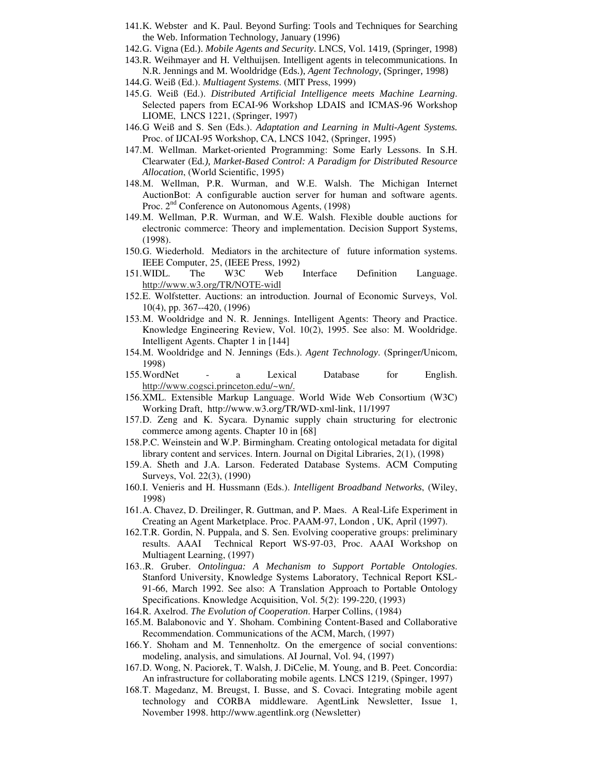- 141.K. Webster and K. Paul. Beyond Surfing: Tools and Techniques for Searching the Web. Information Technology, January (1996)
- 142.G. Vigna (Ed.). *Mobile Agents and Security*. LNCS, Vol. 1419, (Springer, 1998)
- 143.R. Weihmayer and H. Velthuijsen. Intelligent agents in telecommunications. In N.R. Jennings and M. Wooldridge (Eds.), *Agent Technology*, (Springer, 1998)
- 144.G. Weiß (Ed.). *Multiagent Systems*. (MIT Press, 1999)
- 145.G. Weiß (Ed.). *Distributed Artificial Intelligence meets Machine Learning*. Selected papers from ECAI-96 Workshop LDAIS and ICMAS-96 Workshop LIOME, LNCS 1221, (Springer, 1997)
- 146.G Weiß and S. Sen (Eds.). *Adaptation and Learning in Multi-Agent Systems.* Proc. of IJCAI-95 Workshop, CA, LNCS 1042, (Springer, 1995)
- 147.M. Wellman. Market-oriented Programming: Some Early Lessons. In S.H. Clearwater (Ed*.), Market-Based Control: A Paradigm for Distributed Resource Allocation*, (World Scientific, 1995)
- 148.M. Wellman, P.R. Wurman, and W.E. Walsh. The Michigan Internet AuctionBot: A configurable auction server for human and software agents. Proc. 2<sup>nd</sup> Conference on Autonomous Agents, (1998)
- 149.M. Wellman, P.R. Wurman, and W.E. Walsh. Flexible double auctions for electronic commerce: Theory and implementation. Decision Support Systems, (1998).
- 150.G. Wiederhold. Mediators in the architecture of future information systems. IEEE Computer, 25, (IEEE Press, 1992)
- 151.WIDL. The W3C Web Interface Definition Language. http://www.w3.org/TR/NOTE-widl
- 152.E. Wolfstetter. Auctions: an introduction. Journal of Economic Surveys, Vol. 10(4), pp. 367--420, (1996)
- 153.M. Wooldridge and N. R. Jennings. Intelligent Agents: Theory and Practice. Knowledge Engineering Review, Vol. 10(2), 1995. See also: M. Wooldridge. Intelligent Agents. Chapter 1 in [144]
- 154.M. Wooldridge and N. Jennings (Eds.). *Agent Technology*. (Springer/Unicom, 1998)
- 155.WordNet a Lexical Database for English. http://www.cogsci.princeton.edu/~wn/.
- 156.XML. Extensible Markup Language. World Wide Web Consortium (W3C) Working Draft, http://www.w3.org/TR/WD-xml-link, 11/1997
- 157.D. Zeng and K. Sycara. Dynamic supply chain structuring for electronic commerce among agents. Chapter 10 in [68]
- 158.P.C. Weinstein and W.P. Birmingham. Creating ontological metadata for digital library content and services. Intern. Journal on Digital Libraries, 2(1), (1998)
- 159.A. Sheth and J.A. Larson. Federated Database Systems. ACM Computing Surveys, Vol. 22(3), (1990)
- 160.I. Venieris and H. Hussmann (Eds.). *Intelligent Broadband Networks*, (Wiley, 1998)
- 161.A. Chavez, D. Dreilinger, R. Guttman, and P. Maes. A Real-Life Experiment in Creating an Agent Marketplace. Proc. PAAM-97, London , UK, April (1997).
- 162.T.R. Gordin, N. Puppala, and S. Sen. Evolving cooperative groups: preliminary results. AAAI Technical Report WS-97-03, Proc. AAAI Workshop on Multiagent Learning, (1997)
- 163..R. Gruber. *Ontolingua: A Mechanism to Support Portable Ontologies*. Stanford University, Knowledge Systems Laboratory, Technical Report KSL-91-66, March 1992. See also: A Translation Approach to Portable Ontology Specifications. Knowledge Acquisition, Vol. 5(2): 199-220, (1993)
- 164.R. Axelrod. *The Evolution of Cooperation*. Harper Collins, (1984)
- 165.M. Balabonovic and Y. Shoham. Combining Content-Based and Collaborative Recommendation. Communications of the ACM, March, (1997)
- 166.Y. Shoham and M. Tennenholtz. On the emergence of social conventions: modeling, analysis, and simulations. AI Journal, Vol. 94, (1997)
- 167.D. Wong, N. Paciorek, T. Walsh, J. DiCelie, M. Young, and B. Peet. Concordia: An infrastructure for collaborating mobile agents. LNCS 1219, (Spinger, 1997)
- 168.T. Magedanz, M. Breugst, I. Busse, and S. Covaci. Integrating mobile agent technology and CORBA middleware. AgentLink Newsletter, Issue 1, November 1998. http://www.agentlink.org (Newsletter)